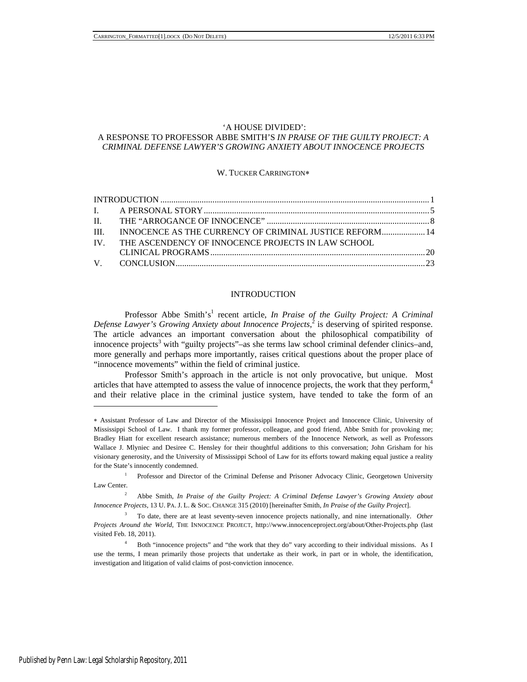### 'A HOUSE DIVIDED':

### A RESPONSE TO PROFESSOR ABBE SMITH'S *IN PRAISE OF THE GUILTY PROJECT: A CRIMINAL DEFENSE LAWYER'S GROWING ANXIETY ABOUT INNOCENCE PROJECTS*

#### W. TUCKER CARRINGTON

|  | III. INNOCENCE AS THE CURRENCY OF CRIMINAL JUSTICE REFORM 14 |  |
|--|--------------------------------------------------------------|--|
|  | IV. THE ASCENDENCY OF INNOCENCE PROJECTS IN LAW SCHOOL       |  |
|  |                                                              |  |
|  |                                                              |  |

# **INTRODUCTION**

Professor Abbe Smith's<sup>1</sup> recent article, *In Praise of the Guilty Project: A Criminal Defense Lawyer's Growing Anxiety about Innocence Projects*, 2 is deserving of spirited response. The article advances an important conversation about the philosophical compatibility of innocence projects<sup>3</sup> with "guilty projects"–as she terms law school criminal defender clinics–and, more generally and perhaps more importantly, raises critical questions about the proper place of "innocence movements" within the field of criminal justice.

Professor Smith's approach in the article is not only provocative, but unique. Most articles that have attempted to assess the value of innocence projects, the work that they perform,<sup>4</sup> and their relative place in the criminal justice system, have tended to take the form of an

Assistant Professor of Law and Director of the Mississippi Innocence Project and Innocence Clinic, University of Mississippi School of Law. I thank my former professor, colleague, and good friend, Abbe Smith for provoking me; Bradley Hiatt for excellent research assistance; numerous members of the Innocence Network, as well as Professors Wallace J. Mlyniec and Desiree C. Hensley for their thoughtful additions to this conversation; John Grisham for his visionary generosity, and the University of Mississippi School of Law for its efforts toward making equal justice a reality for the State's innocently condemned.

<sup>&</sup>lt;sup>1</sup> Professor and Director of the Criminal Defense and Prisoner Advocacy Clinic, Georgetown University Law Center.

<sup>2</sup> Abbe Smith, *In Praise of the Guilty Project: A Criminal Defense Lawyer's Growing Anxiety about Innocence Projects*, 13 U. PA. J. L. & SOC. CHANGE 315 (2010) [hereinafter Smith, *In Praise of the Guilty Project*].

<sup>3</sup> To date, there are at least seventy-seven innocence projects nationally, and nine internationally. *Other Projects Around the World*, THE INNOCENCE PROJECT, http://www.innocenceproject.org/about/Other-Projects.php (last visited Feb. 18, 2011).

<sup>4</sup> Both "innocence projects" and "the work that they do" vary according to their individual missions. As I use the terms, I mean primarily those projects that undertake as their work, in part or in whole, the identification, investigation and litigation of valid claims of post-conviction innocence.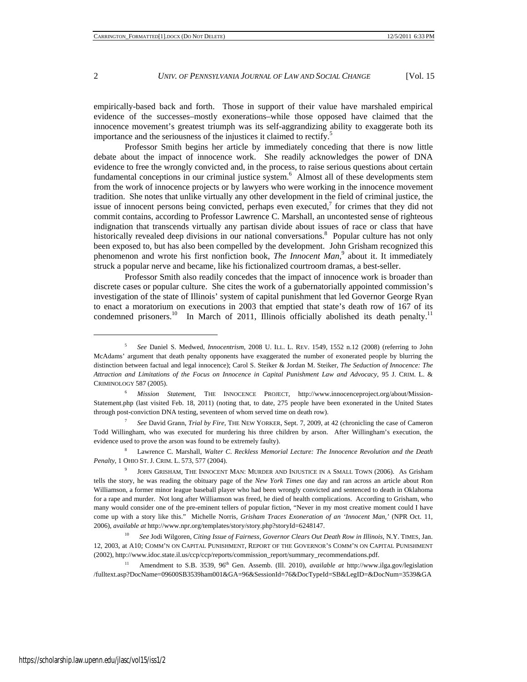empirically-based back and forth. Those in support of their value have marshaled empirical evidence of the successes–mostly exonerations–while those opposed have claimed that the innocence movement's greatest triumph was its self-aggrandizing ability to exaggerate both its importance and the seriousness of the injustices it claimed to rectify.<sup>5</sup>

Professor Smith begins her article by immediately conceding that there is now little debate about the impact of innocence work. She readily acknowledges the power of DNA evidence to free the wrongly convicted and, in the process, to raise serious questions about certain fundamental conceptions in our criminal justice system.<sup>6</sup> Almost all of these developments stem from the work of innocence projects or by lawyers who were working in the innocence movement tradition. She notes that unlike virtually any other development in the field of criminal justice, the issue of innocent persons being convicted, perhaps even executed, $\alpha$  for crimes that they did not commit contains, according to Professor Lawrence C. Marshall, an uncontested sense of righteous indignation that transcends virtually any partisan divide about issues of race or class that have historically revealed deep divisions in our national conversations.<sup>8</sup> Popular culture has not only been exposed to, but has also been compelled by the development. John Grisham recognized this phenomenon and wrote his first nonfiction book, *The Innocent Man*,<sup>9</sup> about it. It immediately struck a popular nerve and became, like his fictionalized courtroom dramas, a best-seller.

Professor Smith also readily concedes that the impact of innocence work is broader than discrete cases or popular culture. She cites the work of a gubernatorially appointed commission's investigation of the state of Illinois' system of capital punishment that led Governor George Ryan to enact a moratorium on executions in 2003 that emptied that state's death row of 167 of its condemned prisoners.<sup>10</sup> In March of 2011, Illinois officially abolished its death penalty.<sup>11</sup>

<sup>7</sup> *See* David Grann, *Trial by Fire*, THE NEW YORKER, Sept. 7, 2009, at 42 (chronicling the case of Cameron Todd Willingham, who was executed for murdering his three children by arson. After Willingham's execution, the evidence used to prove the arson was found to be extremely faulty).

<sup>8</sup> Lawrence C. Marshall, *Walter C*. *Reckless Memorial Lecture: The Innocence Revolution and the Death Penalty*, 1 OHIO ST. J. CRIM. L. 573, 577 (2004).

<sup>5</sup> *See* Daniel S. Medwed, *Innocentrism*, 2008 U. ILL. L. REV. 1549, 1552 n.12 (2008) (referring to John McAdams' argument that death penalty opponents have exaggerated the number of exonerated people by blurring the distinction between factual and legal innocence); Carol S. Steiker & Jordan M. Steiker, *The Seduction of Innocence: The Attraction and Limitations of the Focus on Innocence in Capital Punishment Law and Advocacy*, 95 J. CRIM. L. & CRIMINOLOGY 587 (2005).

<sup>6</sup> *Mission Statement*, THE INNOCENCE PROJECT, http://www.innocenceproject.org/about/Mission-Statement.php (last visited Feb. 18, 2011) (noting that, to date, 275 people have been exonerated in the United States through post-conviction DNA testing, seventeen of whom served time on death row).

<sup>9</sup> JOHN GRISHAM, THE INNOCENT MAN: MURDER AND INJUSTICE IN A SMALL TOWN (2006). As Grisham tells the story, he was reading the obituary page of the *New York Times* one day and ran across an article about Ron Williamson, a former minor league baseball player who had been wrongly convicted and sentenced to death in Oklahoma for a rape and murder. Not long after Williamson was freed, he died of health complications. According to Grisham, who many would consider one of the pre-eminent tellers of popular fiction, "Never in my most creative moment could I have come up with a story like this." Michelle Norris, *Grisham Traces Exoneration of an 'Innocent Man,'* (NPR Oct. 11, 2006), *available at* http://www.npr.org/templates/story/story.php?storyId=6248147.

<sup>&</sup>lt;sup>10</sup> *See* Jodi Wilgoren, *Citing Issue of Fairness, Governor Clears Out Death Row in Illinois*, N.Y. TIMES, Jan. 12, 2003, at A10; COMM'N ON CAPITAL PUNISHMENT, REPORT OF THE GOVERNOR'S COMM'N ON CAPITAL PUNISHMENT (2002), http://www.idoc.state.il.us/ccp/ccp/reports/commission\_report/summary\_recommendations.pdf.

Amendment to S.B. 3539, 96<sup>th</sup> Gen. Assemb. (Ill. 2010), *available at* http://www.ilga.gov/legislation /fulltext.asp?DocName=09600SB3539ham001&GA=96&SessionId=76&DocTypeId=SB&LegID=&DocNum=3539&GA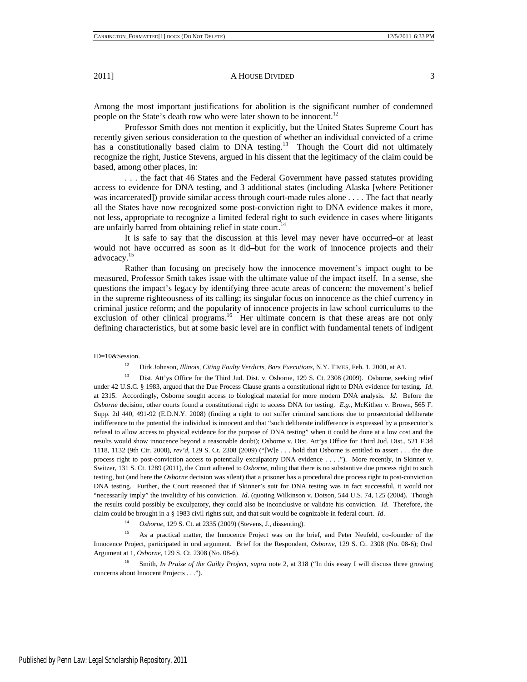Among the most important justifications for abolition is the significant number of condemned people on the State's death row who were later shown to be innocent.<sup>12</sup>

Professor Smith does not mention it explicitly, but the United States Supreme Court has recently given serious consideration to the question of whether an individual convicted of a crime has a constitutionally based claim to DNA testing.<sup>13</sup> Though the Court did not ultimately recognize the right, Justice Stevens, argued in his dissent that the legitimacy of the claim could be based, among other places, in:

. . . the fact that 46 States and the Federal Government have passed statutes providing access to evidence for DNA testing, and 3 additional states (including Alaska [where Petitioner was incarcerated]) provide similar access through court-made rules alone . . . . The fact that nearly all the States have now recognized some post-conviction right to DNA evidence makes it more, not less, appropriate to recognize a limited federal right to such evidence in cases where litigants are unfairly barred from obtaining relief in state court.<sup>14</sup>

It is safe to say that the discussion at this level may never have occurred–or at least would not have occurred as soon as it did–but for the work of innocence projects and their advocacy.15

Rather than focusing on precisely how the innocence movement's impact ought to be measured, Professor Smith takes issue with the ultimate value of the impact itself. In a sense, she questions the impact's legacy by identifying three acute areas of concern: the movement's belief in the supreme righteousness of its calling; its singular focus on innocence as the chief currency in criminal justice reform; and the popularity of innocence projects in law school curriculums to the exclusion of other clinical programs.<sup>16</sup> Her ultimate concern is that these areas are not only defining characteristics, but at some basic level are in conflict with fundamental tenets of indigent

-

<sup>14</sup> *Osborne*, 129 S. Ct. at 2335 (2009) (Stevens, J., dissenting).

<sup>15</sup> As a practical matter, the Innocence Project was on the brief, and Peter Neufeld, co-founder of the Innocence Project, participated in oral argument. Brief for the Respondent, *Osborne*, 129 S. Ct. 2308 (No. 08-6); Oral Argument at 1, *Osborne*, 129 S. Ct. 2308 (No. 08-6).

<sup>16</sup> Smith, *In Praise of the Guilty Project*, *supra* note 2, at 318 ("In this essay I will discuss three growing concerns about Innocent Projects . . .").

ID=10&Session.

<sup>12</sup> Dirk Johnson, *Illinois, Citing Faulty Verdicts, Bars Executions*, N.Y. TIMES, Feb. 1, 2000, at A1.

<sup>&</sup>lt;sup>13</sup> Dist. Att'ys Office for the Third Jud. Dist. v. Osborne, 129 S. Ct. 2308 (2009). Osborne, seeking relief under 42 U.S.C. § 1983, argued that the Due Process Clause grants a constitutional right to DNA evidence for testing. *Id*. at 2315. Accordingly, Osborne sought access to biological material for more modern DNA analysis. *Id*. Before the *Osborne* decision, other courts found a constitutional right to access DNA for testing. *E*.*g*.*,* McKithen v. Brown, 565 F. Supp. 2d 440, 491-92 (E.D.N.Y. 2008) (finding a right to not suffer criminal sanctions due to prosecutorial deliberate indifference to the potential the individual is innocent and that "such deliberate indifference is expressed by a prosecutor's refusal to allow access to physical evidence for the purpose of DNA testing" when it could be done at a low cost and the results would show innocence beyond a reasonable doubt); Osborne v. Dist. Att'ys Office for Third Jud. Dist., 521 F.3d 1118, 1132 (9th Cir. 2008), *rev'd*, 129 S. Ct. 2308 (2009) ("[W]e . . . hold that Osborne is entitled to assert . . . the due process right to post-conviction access to potentially exculpatory DNA evidence . . . ."). More recently, in Skinner v. Switzer, 131 S. Ct. 1289 (2011), the Court adhered to *Osborne*, ruling that there is no substantive due process right to such testing, but (and here the *Osborne* decision was silent) that a prisoner has a procedural due process right to post-conviction DNA testing. Further, the Court reasoned that if Skinner's suit for DNA testing was in fact successful, it would not "necessarily imply" the invalidity of his conviction. *Id.* (quoting Wilkinson v. Dotson, 544 U.S. 74, 125 (2004). Though the results could possibly be exculpatory, they could also be inconclusive or validate his conviction. *Id*.Therefore, the claim could be brought in a § 1983 civil rights suit, and that suit would be cognizable in federal court. *Id*.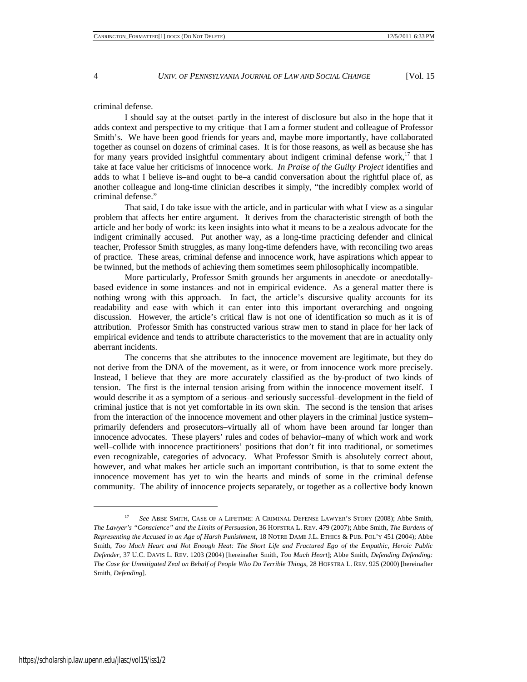#### criminal defense.

I should say at the outset–partly in the interest of disclosure but also in the hope that it adds context and perspective to my critique–that I am a former student and colleague of Professor Smith's. We have been good friends for years and, maybe more importantly, have collaborated together as counsel on dozens of criminal cases. It is for those reasons, as well as because she has for many years provided insightful commentary about indigent criminal defense work, $17$  that I take at face value her criticisms of innocence work. *In Praise of the Guilty Project* identifies and adds to what I believe is–and ought to be–a candid conversation about the rightful place of, as another colleague and long-time clinician describes it simply, "the incredibly complex world of criminal defense."

That said, I do take issue with the article, and in particular with what I view as a singular problem that affects her entire argument. It derives from the characteristic strength of both the article and her body of work: its keen insights into what it means to be a zealous advocate for the indigent criminally accused. Put another way, as a long-time practicing defender and clinical teacher, Professor Smith struggles, as many long-time defenders have, with reconciling two areas of practice. These areas, criminal defense and innocence work, have aspirations which appear to be twinned, but the methods of achieving them sometimes seem philosophically incompatible.

More particularly, Professor Smith grounds her arguments in anecdote–or anecdotallybased evidence in some instances–and not in empirical evidence. As a general matter there is nothing wrong with this approach. In fact, the article's discursive quality accounts for its readability and ease with which it can enter into this important overarching and ongoing discussion. However, the article's critical flaw is not one of identification so much as it is of attribution. Professor Smith has constructed various straw men to stand in place for her lack of empirical evidence and tends to attribute characteristics to the movement that are in actuality only aberrant incidents.

The concerns that she attributes to the innocence movement are legitimate, but they do not derive from the DNA of the movement, as it were, or from innocence work more precisely. Instead, I believe that they are more accurately classified as the by-product of two kinds of tension. The first is the internal tension arising from within the innocence movement itself. I would describe it as a symptom of a serious–and seriously successful–development in the field of criminal justice that is not yet comfortable in its own skin. The second is the tension that arises from the interaction of the innocence movement and other players in the criminal justice system– primarily defenders and prosecutors–virtually all of whom have been around far longer than innocence advocates. These players' rules and codes of behavior–many of which work and work well–collide with innocence practitioners' positions that don't fit into traditional, or sometimes even recognizable, categories of advocacy. What Professor Smith is absolutely correct about, however, and what makes her article such an important contribution, is that to some extent the innocence movement has yet to win the hearts and minds of some in the criminal defense community. The ability of innocence projects separately, or together as a collective body known

<sup>17</sup> *See* ABBE SMITH, CASE OF A LIFETIME: A CRIMINAL DEFENSE LAWYER'S STORY (2008); Abbe Smith, *The Lawyer's "Conscience" and the Limits of Persuasion*, 36 HOFSTRA L. REV. 479 (2007); Abbe Smith, *The Burdens of Representing the Accused in an Age of Harsh Punishment*, 18 NOTRE DAME J.L. ETHICS & PUB. POL'Y 451 (2004); Abbe Smith, *Too Much Heart and Not Enough Heat: The Short Life and Fractured Ego of the Empathic, Heroic Public Defender*, 37 U.C. DAVIS L. REV. 1203 (2004) [hereinafter Smith, *Too Much Heart*]; Abbe Smith, *Defending Defending: The Case for Unmitigated Zeal on Behalf of People Who Do Terrible Things*, 28 HOFSTRA L. REV. 925 (2000) [hereinafter Smith, *Defending*].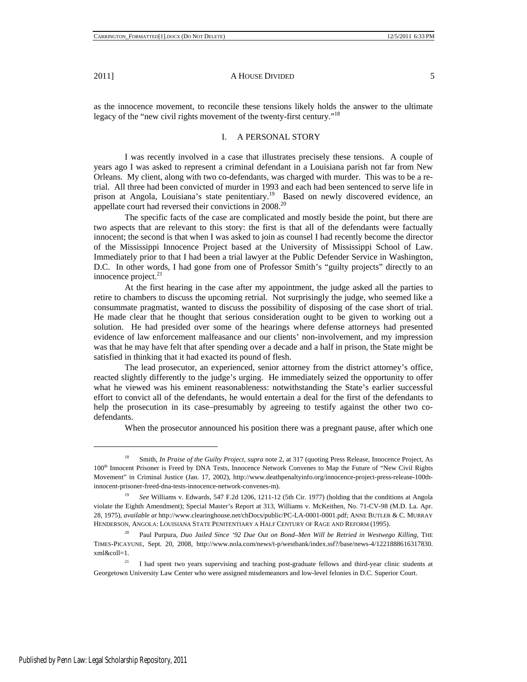as the innocence movement, to reconcile these tensions likely holds the answer to the ultimate legacy of the "new civil rights movement of the twenty-first century."<sup>18</sup>

# I. A PERSONAL STORY

I was recently involved in a case that illustrates precisely these tensions. A couple of years ago I was asked to represent a criminal defendant in a Louisiana parish not far from New Orleans. My client, along with two co-defendants, was charged with murder. This was to be a retrial. All three had been convicted of murder in 1993 and each had been sentenced to serve life in prison at Angola, Louisiana's state penitentiary.<sup>19</sup> Based on newly discovered evidence, an appellate court had reversed their convictions in 2008.<sup>20</sup>

The specific facts of the case are complicated and mostly beside the point, but there are two aspects that are relevant to this story: the first is that all of the defendants were factually innocent; the second is that when I was asked to join as counsel I had recently become the director of the Mississippi Innocence Project based at the University of Mississippi School of Law. Immediately prior to that I had been a trial lawyer at the Public Defender Service in Washington, D.C. In other words, I had gone from one of Professor Smith's "guilty projects" directly to an innocence project.<sup>21</sup>

At the first hearing in the case after my appointment, the judge asked all the parties to retire to chambers to discuss the upcoming retrial. Not surprisingly the judge, who seemed like a consummate pragmatist, wanted to discuss the possibility of disposing of the case short of trial. He made clear that he thought that serious consideration ought to be given to working out a solution. He had presided over some of the hearings where defense attorneys had presented evidence of law enforcement malfeasance and our clients' non-involvement, and my impression was that he may have felt that after spending over a decade and a half in prison, the State might be satisfied in thinking that it had exacted its pound of flesh.

The lead prosecutor, an experienced, senior attorney from the district attorney's office, reacted slightly differently to the judge's urging. He immediately seized the opportunity to offer what he viewed was his eminent reasonableness: notwithstanding the State's earlier successful effort to convict all of the defendants, he would entertain a deal for the first of the defendants to help the prosecution in its case–presumably by agreeing to testify against the other two codefendants.

When the prosecutor announced his position there was a pregnant pause, after which one

<sup>18</sup> Smith, *In Praise of the Guilty Project*, *supra* note 2, at 317 (quoting Press Release, Innocence Project, As 100<sup>th</sup> Innocent Prisoner is Freed by DNA Tests, Innocence Network Convenes to Map the Future of "New Civil Rights Movement" in Criminal Justice (Jan. 17, 2002), http://www.deathpenaltyinfo.org/innocence-project-press-release-100thinnocent-prisoner-freed-dna-tests-innocence-network-convenes-m).

<sup>19</sup> *See* Williams v. Edwards, 547 F.2d 1206, 1211-12 (5th Cir. 1977) (holding that the conditions at Angola violate the Eighth Amendment); Special Master's Report at 313, Williams v. McKeithen, No. 71-CV-98 (M.D. La. Apr. 28, 1975), *available at* http://www.clearinghouse.net/chDocs/public/PC-LA-0001-0001.pdf; ANNE BUTLER & C. MURRAY HENDERSON, ANGOLA: LOUISIANA STATE PENITENTIARY A HALF CENTURY OF RAGE AND REFORM (1995).

<sup>&</sup>lt;sup>20</sup> Paul Purpura, *Duo Jailed Since '92 Due Out on Bond–Men Will be Retried in Westwego Killing*, THE TIMES-PICAYUNE, Sept. 20, 2008, http://www.nola.com/news/t-p/westbank/index.ssf?/base/news-4/1221888616317830. xml&coll=1.

<sup>&</sup>lt;sup>21</sup> I had spent two years supervising and teaching post-graduate fellows and third-year clinic students at Georgetown University Law Center who were assigned misdemeanors and low-level felonies in D.C. Superior Court.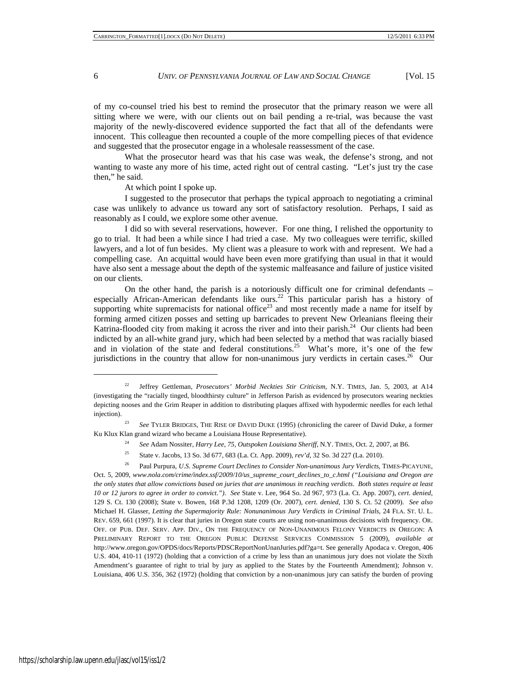of my co-counsel tried his best to remind the prosecutor that the primary reason we were all sitting where we were, with our clients out on bail pending a re-trial, was because the vast majority of the newly-discovered evidence supported the fact that all of the defendants were innocent. This colleague then recounted a couple of the more compelling pieces of that evidence and suggested that the prosecutor engage in a wholesale reassessment of the case.

What the prosecutor heard was that his case was weak, the defense's strong, and not wanting to waste any more of his time, acted right out of central casting. "Let's just try the case then," he said.

At which point I spoke up.

I suggested to the prosecutor that perhaps the typical approach to negotiating a criminal case was unlikely to advance us toward any sort of satisfactory resolution. Perhaps, I said as reasonably as I could, we explore some other avenue.

I did so with several reservations, however. For one thing, I relished the opportunity to go to trial. It had been a while since I had tried a case. My two colleagues were terrific, skilled lawyers, and a lot of fun besides. My client was a pleasure to work with and represent. We had a compelling case. An acquittal would have been even more gratifying than usual in that it would have also sent a message about the depth of the systemic malfeasance and failure of justice visited on our clients.

On the other hand, the parish is a notoriously difficult one for criminal defendants – especially African-American defendants like ours.<sup>22</sup> This particular parish has a history of supporting white supremacists for national office<sup>23</sup> and most recently made a name for itself by forming armed citizen posses and setting up barricades to prevent New Orleanians fleeing their Katrina-flooded city from making it across the river and into their parish. $^{24}$  Our clients had been indicted by an all-white grand jury, which had been selected by a method that was racially biased and in violation of the state and federal constitutions.<sup>25</sup> What's more, it's one of the few jurisdictions in the country that allow for non-unanimous jury verdicts in certain cases.<sup>26</sup> Our

- <sup>24</sup> *See* Adam Nossiter, *Harry Lee, 75, Outspoken Louisiana Sheriff*, N.Y. TIMES, Oct. 2, 2007, at B6.
- <sup>25</sup> State v. Jacobs, 13 So. 3d 677, 683 (La. Ct. App. 2009), *rev'd*, 32 So. 3d 227 (La. 2010).

<sup>22</sup> Jeffrey Gettleman, *Prosecutors' Morbid Neckties Stir Criticism*, N.Y. TIMES, Jan. 5, 2003, at A14 (investigating the "racially tinged, bloodthirsty culture" in Jefferson Parish as evidenced by prosecutors wearing neckties depicting nooses and the Grim Reaper in addition to distributing plaques affixed with hypodermic needles for each lethal injection).

<sup>&</sup>lt;sup>23</sup> See TYLER BRIDGES, THE RISE OF DAVID DUKE (1995) (chronicling the career of David Duke, a former Ku Klux Klan grand wizard who became a Louisiana House Representative).

<sup>26</sup> Paul Purpura, *U*.*S*. *Supreme Court Declines to Consider Non-unanimous Jury Verdicts*, TIMES-PICAYUNE, Oct. 5, 2009, *www*.*nola*.*com/crime/index*.*ssf/2009/10/us\_supreme\_court\_declines\_to\_c*.*html ("Louisiana and Oregon are the only states that allow convictions based on juries that are unanimous in reaching verdicts*. *Both states require at least 10 or 12 jurors to agree in order to convict*.*")*. *See* State v. Lee, 964 So. 2d 967, 973 (La. Ct. App. 2007), *cert*. *denied*, 129 S. Ct. 130 (2008); State v. Bowen, 168 P.3d 1208, 1209 (Or. 2007), *cert*. *denied*, 130 S. Ct. 52 (2009). *See also* Michael H. Glasser, *Letting the Supermajority Rule: Nonunanimous Jury Verdicts in Criminal Trials*, 24 FLA. ST. U. L. REV. 659, 661 (1997). It is clear that juries in Oregon state courts are using non-unanimous decisions with frequency. OR. OFF. OF PUB. DEF. SERV. APP. DIV., ON THE FREQUENCY OF NON-UNANIMOUS FELONY VERDICTS IN OREGON: A PRELIMINARY REPORT TO THE OREGON PUBLIC DEFENSE SERVICES COMMISSION 5 (2009), *available at* http://www.oregon.gov/OPDS/docs/Reports/PDSCReportNonUnanJuries.pdf?ga=t. See generally Apodaca v. Oregon, 406 U.S. 404, 410-11 (1972) (holding that a conviction of a crime by less than an unanimous jury does not violate the Sixth Amendment's guarantee of right to trial by jury as applied to the States by the Fourteenth Amendment); Johnson v. Louisiana, 406 U.S. 356, 362 (1972) (holding that conviction by a non-unanimous jury can satisfy the burden of proving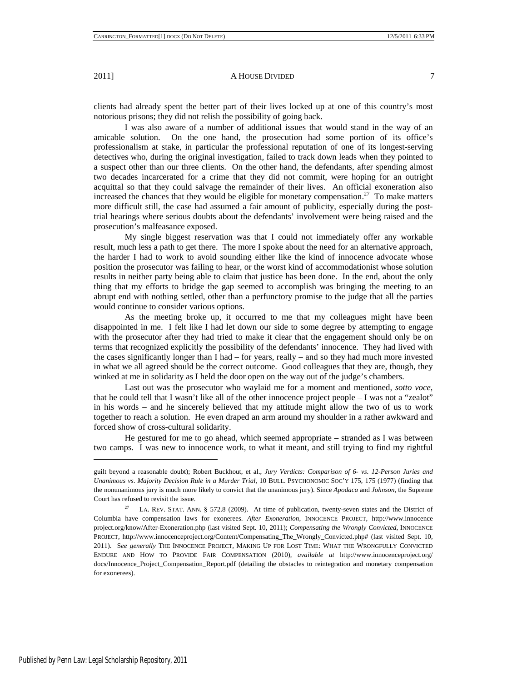clients had already spent the better part of their lives locked up at one of this country's most notorious prisons; they did not relish the possibility of going back.

I was also aware of a number of additional issues that would stand in the way of an amicable solution. On the one hand, the prosecution had some portion of its office's professionalism at stake, in particular the professional reputation of one of its longest-serving detectives who, during the original investigation, failed to track down leads when they pointed to a suspect other than our three clients. On the other hand, the defendants, after spending almost two decades incarcerated for a crime that they did not commit, were hoping for an outright acquittal so that they could salvage the remainder of their lives. An official exoneration also increased the chances that they would be eligible for monetary compensation.<sup>27</sup> To make matters more difficult still, the case had assumed a fair amount of publicity, especially during the posttrial hearings where serious doubts about the defendants' involvement were being raised and the prosecution's malfeasance exposed.

My single biggest reservation was that I could not immediately offer any workable result, much less a path to get there. The more I spoke about the need for an alternative approach, the harder I had to work to avoid sounding either like the kind of innocence advocate whose position the prosecutor was failing to hear, or the worst kind of accommodationist whose solution results in neither party being able to claim that justice has been done. In the end, about the only thing that my efforts to bridge the gap seemed to accomplish was bringing the meeting to an abrupt end with nothing settled, other than a perfunctory promise to the judge that all the parties would continue to consider various options.

As the meeting broke up, it occurred to me that my colleagues might have been disappointed in me. I felt like I had let down our side to some degree by attempting to engage with the prosecutor after they had tried to make it clear that the engagement should only be on terms that recognized explicitly the possibility of the defendants' innocence. They had lived with the cases significantly longer than I had – for years, really – and so they had much more invested in what we all agreed should be the correct outcome. Good colleagues that they are, though, they winked at me in solidarity as I held the door open on the way out of the judge's chambers.

Last out was the prosecutor who waylaid me for a moment and mentioned, *sotto voce*, that he could tell that I wasn't like all of the other innocence project people – I was not a "zealot" in his words – and he sincerely believed that my attitude might allow the two of us to work together to reach a solution. He even draped an arm around my shoulder in a rather awkward and forced show of cross-cultural solidarity.

He gestured for me to go ahead, which seemed appropriate – stranded as I was between two camps. I was new to innocence work, to what it meant, and still trying to find my rightful

guilt beyond a reasonable doubt); Robert Buckhout, et al., *Jury Verdicts: Comparison of 6- vs*. *12-Person Juries and Unanimous vs*. *Majority Decision Rule in a Murder Trial*, 10 BULL. PSYCHONOMIC SOC'Y 175, 175 (1977) (finding that the nonunanimous jury is much more likely to convict that the unanimous jury). Since *Apodaca* and *Johnson*, the Supreme Court has refused to revisit the issue.

<sup>27</sup> LA. REV. STAT. ANN. § 572.8 (2009). At time of publication, twenty-seven states and the District of Columbia have compensation laws for exonerees. *After Exoneration*, INNOCENCE PROJECT, http://www.innocence project.org/know/After-Exoneration.php (last visited Sept. 10, 2011); *Compensating the Wrongly Convicted*, INNOCENCE PROJECT, http://www.innocenceproject.org/Content/Compensating\_The\_Wrongly\_Convicted.php# (last visited Sept. 10, 2011). S*ee generally* THE INNOCENCE PROJECT, MAKING UP FOR LOST TIME: WHAT THE WRONGFULLY CONVICTED ENDURE AND HOW TO PROVIDE FAIR COMPENSATION (2010), *available at* http://www.innocenceproject.org/ docs/Innocence\_Project\_Compensation\_Report.pdf (detailing the obstacles to reintegration and monetary compensation for exonerees).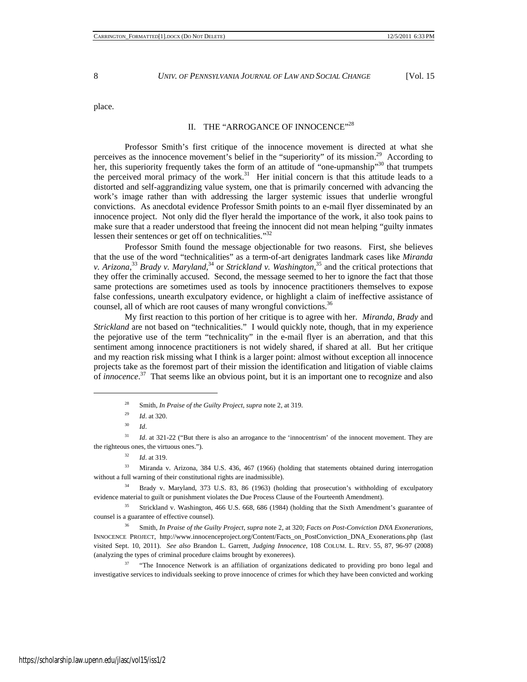place.

# II. THE "ARROGANCE OF INNOCENCE"<sup>28</sup>

Professor Smith's first critique of the innocence movement is directed at what she perceives as the innocence movement's belief in the "superiority" of its mission.<sup>29</sup> According to her, this superiority frequently takes the form of an attitude of "one-upmanship"<sup>30</sup> that trumpets the perceived moral primacy of the work.<sup>31</sup> Her initial concern is that this attitude leads to a distorted and self-aggrandizing value system, one that is primarily concerned with advancing the work's image rather than with addressing the larger systemic issues that underlie wrongful convictions. As anecdotal evidence Professor Smith points to an e-mail flyer disseminated by an innocence project. Not only did the flyer herald the importance of the work, it also took pains to make sure that a reader understood that freeing the innocent did not mean helping "guilty inmates lessen their sentences or get off on technicalities."32

Professor Smith found the message objectionable for two reasons. First, she believes that the use of the word "technicalities" as a term-of-art denigrates landmark cases like *Miranda*  v. Arizona,<sup>33</sup> Brady v. Maryland,<sup>34</sup> or *Strickland v. Washington*,<sup>35</sup> and the critical protections that they offer the criminally accused. Second, the message seemed to her to ignore the fact that those same protections are sometimes used as tools by innocence practitioners themselves to expose false confessions, unearth exculpatory evidence, or highlight a claim of ineffective assistance of counsel, all of which are root causes of many wrongful convictions.<sup>36</sup>

My first reaction to this portion of her critique is to agree with her. *Miranda*, *Brady* and *Strickland* are not based on "technicalities." I would quickly note, though, that in my experience the pejorative use of the term "technicality" in the e-mail flyer is an aberration, and that this sentiment among innocence practitioners is not widely shared, if shared at all. But her critique and my reaction risk missing what I think is a larger point: almost without exception all innocence projects take as the foremost part of their mission the identification and litigation of viable claims of *innocence*.<sup>37</sup> That seems like an obvious point, but it is an important one to recognize and also

-

<sup>31</sup> *Id.* at 321-22 ("But there is also an arrogance to the 'innocentrism' of the innocent movement. They are the righteous ones, the virtuous ones.").

<sup>33</sup> Miranda v. Arizona, 384 U.S. 436, 467 (1966) (holding that statements obtained during interrogation without a full warning of their constitutional rights are inadmissible).

<sup>34</sup> Brady v. Maryland, 373 U.S. 83, 86 (1963) (holding that prosecution's withholding of exculpatory evidence material to guilt or punishment violates the Due Process Clause of the Fourteenth Amendment).

<sup>35</sup> Strickland v. Washington, 466 U.S. 668, 686 (1984) (holding that the Sixth Amendment's guarantee of counsel is a guarantee of effective counsel).

<sup>36</sup> Smith, *In Praise of the Guilty Project*, *supra* note 2, at 320; *Facts on Post-Conviction DNA Exonerations*, INNOCENCE PROJECT, http://www.innocenceproject.org/Content/Facts\_on\_PostConviction\_DNA\_Exonerations.php (last visited Sept. 10, 2011). *See also* Brandon L. Garrett, *Judging Innocence*, 108 COLUM. L. REV. 55, 87, 96-97 (2008) (analyzing the types of criminal procedure claims brought by exonerees).

<sup>37</sup> "The Innocence Network is an affiliation of organizations dedicated to providing pro bono legal and investigative services to individuals seeking to prove innocence of crimes for which they have been convicted and working

<sup>28</sup> Smith, *In Praise of the Guilty Project*, *supra* note 2, at 319.

<sup>29</sup> *Id*. at 320.

<sup>30</sup> *Id*.

<sup>32</sup> *Id*. at 319.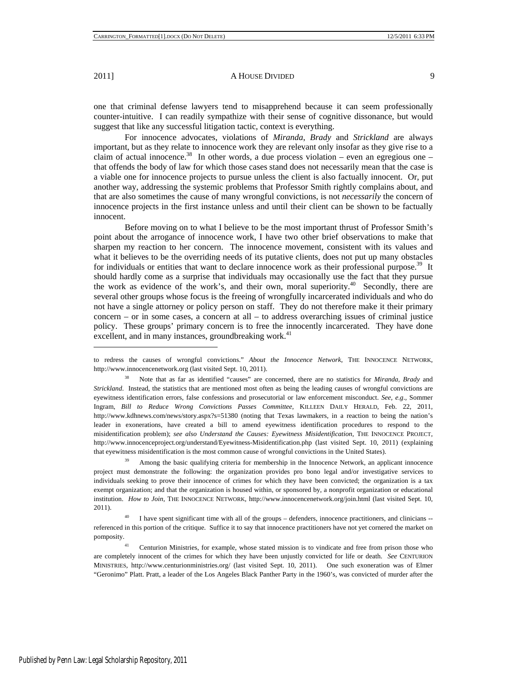$\overline{a}$ 

## 2011] **A HOUSE DIVIDED** 9

one that criminal defense lawyers tend to misapprehend because it can seem professionally counter-intuitive. I can readily sympathize with their sense of cognitive dissonance, but would suggest that like any successful litigation tactic, context is everything.

For innocence advocates, violations of *Miranda*, *Brady* and *Strickland* are always important, but as they relate to innocence work they are relevant only insofar as they give rise to a claim of actual innocence.<sup>38</sup> In other words, a due process violation – even an egregious one – that offends the body of law for which those cases stand does not necessarily mean that the case is a viable one for innocence projects to pursue unless the client is also factually innocent. Or, put another way, addressing the systemic problems that Professor Smith rightly complains about, and that are also sometimes the cause of many wrongful convictions, is not *necessarily* the concern of innocence projects in the first instance unless and until their client can be shown to be factually innocent.

Before moving on to what I believe to be the most important thrust of Professor Smith's point about the arrogance of innocence work, I have two other brief observations to make that sharpen my reaction to her concern. The innocence movement, consistent with its values and what it believes to be the overriding needs of its putative clients, does not put up many obstacles for individuals or entities that want to declare innocence work as their professional purpose.<sup>39</sup> It should hardly come as a surprise that individuals may occasionally use the fact that they pursue the work as evidence of the work's, and their own, moral superiority.<sup>40</sup> Secondly, there are several other groups whose focus is the freeing of wrongfully incarcerated individuals and who do not have a single attorney or policy person on staff. They do not therefore make it their primary concern – or in some cases, a concern at all – to address overarching issues of criminal justice policy. These groups' primary concern is to free the innocently incarcerated. They have done excellent, and in many instances, groundbreaking work.<sup>41</sup>

Among the basic qualifying criteria for membership in the Innocence Network, an applicant innocence project must demonstrate the following: the organization provides pro bono legal and/or investigative services to individuals seeking to prove their innocence of crimes for which they have been convicted; the organization is a tax exempt organization; and that the organization is housed within, or sponsored by, a nonprofit organization or educational institution. *How to Join*, THE INNOCENCE NETWORK, http://www.innocencenetwork.org/join.html (last visited Sept. 10, 2011).

I have spent significant time with all of the groups – defenders, innocence practitioners, and clinicians -referenced in this portion of the critique. Suffice it to say that innocence practitioners have not yet cornered the market on pomposity.

Centurion Ministries, for example, whose stated mission is to vindicate and free from prison those who are completely innocent of the crimes for which they have been unjustly convicted for life or death. *See* CENTURION MINISTRIES, http://www.centurionministries.org/ (last visited Sept. 10, 2011). One such exoneration was of Elmer "Geronimo" Platt. Pratt, a leader of the Los Angeles Black Panther Party in the 1960's, was convicted of murder after the

to redress the causes of wrongful convictions." *About the Innocence Network*, THE INNOCENCE NETWORK, http://www.innocencenetwork.org (last visited Sept. 10, 2011).

<sup>38</sup> Note that as far as identified "causes" are concerned, there are no statistics for *Miranda*, *Brady* and *Strickland*. Instead, the statistics that are mentioned most often as being the leading causes of wrongful convictions are eyewitness identification errors, false confessions and prosecutorial or law enforcement misconduct. *See, e*.*g*.*,* Sommer Ingram, *Bill to Reduce Wrong Convictions Passes Committee*, KILLEEN DAILY HERALD, Feb. 22, 2011, http://www.kdhnews.com/news/story.aspx?s=51380 (noting that Texas lawmakers, in a reaction to being the nation's leader in exonerations, have created a bill to amend eyewitness identification procedures to respond to the misidentification problem); *see also Understand the Causes: Eyewitness Misidentification*, THE INNOCENCE PROJECT, http://www.innocenceproject.org/understand/Eyewitness-Misidentification.php (last visited Sept. 10, 2011) (explaining that eyewitness misidentification is the most common cause of wrongful convictions in the United States).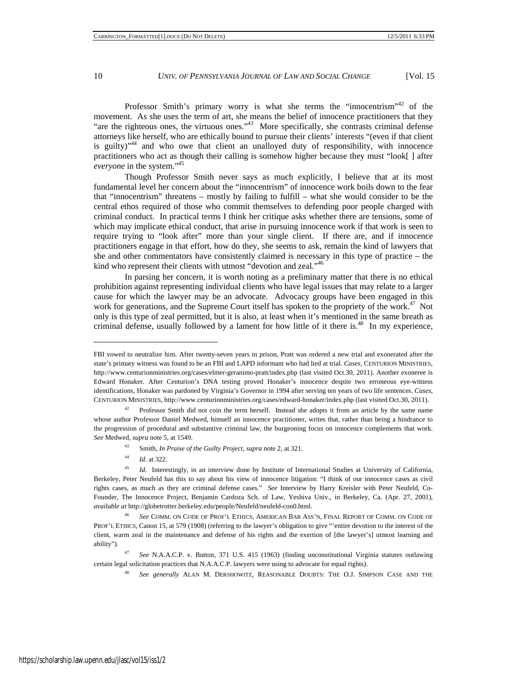Professor Smith's primary worry is what she terms the "innocentrism"<sup>42</sup> of the movement. As she uses the term of art, she means the belief of innocence practitioners that they "are the righteous ones, the virtuous ones."<sup>43</sup> More specifically, she contrasts criminal defense attorneys like herself, who are ethically bound to pursue their clients' interests "(even if that client is guilty) $n<sup>44</sup>$  and who owe that client an unalloyed duty of responsibility, with innocence practitioners who act as though their calling is somehow higher because they must "look[ ] after *everyone* in the system."45

Though Professor Smith never says as much explicitly, I believe that at its most fundamental level her concern about the "innocentrism" of innocence work boils down to the fear that "innocentrism" threatens – mostly by failing to fulfill – what she would consider to be the central ethos required of those who commit themselves to defending poor people charged with criminal conduct. In practical terms I think her critique asks whether there are tensions, some of which may implicate ethical conduct, that arise in pursuing innocence work if that work is seen to require trying to "look after" more than your single client. If there are, and if innocence practitioners engage in that effort, how do they, she seems to ask, remain the kind of lawyers that she and other commentators have consistently claimed is necessary in this type of practice – the kind who represent their clients with utmost "devotion and zeal."<sup>46</sup>

In parsing her concern, it is worth noting as a preliminary matter that there is no ethical prohibition against representing individual clients who have legal issues that may relate to a larger cause for which the lawyer may be an advocate. Advocacy groups have been engaged in this work for generations, and the Supreme Court itself has spoken to the propriety of the work.<sup>47</sup> Not only is this type of zeal permitted, but it is also, at least when it's mentioned in the same breath as criminal defense, usually followed by a lament for how little of it there is.<sup>48</sup> In my experience,

- <sup>43</sup> Smith, *In Praise of the Guilty Project, supra* note 2, at 321.
- <sup>44</sup> *Id*. at 322.

FBI vowed to neutralize him. After twenty-seven years in prison, Pratt was ordered a new trial and exonerated after the state's primary witness was found to be an FBI and LAPD informant who had lied at trial. *Cases*, CENTURION MINISTRIES, http://www.centurionministries.org/cases/elmer-geranimo-pratt/index.php (last visited Oct.30, 2011). Another exoneree is Edward Honaker. After Centurion's DNA testing proved Honaker's innocence despite two erroneous eye-witness identifications, Honaker was pardoned by Virginia's Governor in 1994 after serving ten years of two life sentences. *Cases*, CENTURION MINISTRIES, http://www.centurionministries.org/cases/edward-honaker/index.php (last visited Oct.30, 2011).

<sup>42</sup> Professor Smith did not coin the term herself. Instead she adopts it from an article by the same name whose author Professor Daniel Medwed, himself an innocence practitioner, writes that, rather than being a hindrance to the progression of procedural and substantive criminal law, the burgeoning focus on innocence complements that work. *See* Medwed, *supra* note 5, at 1549.

<sup>&</sup>lt;sup>45</sup> *Id*. Interestingly, in an interview done by Institute of International Studies at University of California, Berkeley, Peter Neufeld has this to say about his view of innocence litigation: "I think of our innocence cases as civil rights cases, as much as they are criminal defense cases." *See* Interview by Harry Kreisler with Peter Neufeld, Co-Founder, The Innocence Project, Benjamin Cardoza Sch. of Law, Yeshiva Univ., in Berkeley, Ca. (Apr. 27, 2001)*, available at* http://globetrotter.berkeley.edu/people/Neufeld/neufeld-con0.html.

<sup>46</sup> *See* COMM. ON CODE OF PROF'L ETHICS, AMERICAN BAR ASS'N, FINAL REPORT OF COMM. ON CODE OF PROF'L ETHICS, Canon 15, at 579 (1908) (referring to the lawyer's obligation to give "'entire devotion to the interest of the client, warm zeal in the maintenance and defense of his rights and the exertion of [the lawyer's] utmost learning and ability").

<sup>47</sup> *See* N.A.A.C.P. v. Button, 371 U.S. 415 (1963) (finding unconstitutional Virginia statutes outlawing certain legal solicitation practices that N.A.A.C.P. lawyers were using to advocate for equal rights).

<sup>48</sup> *See generally* ALAN M. DERSHOWITZ, REASONABLE DOUBTS: THE O.J. SIMPSON CASE AND THE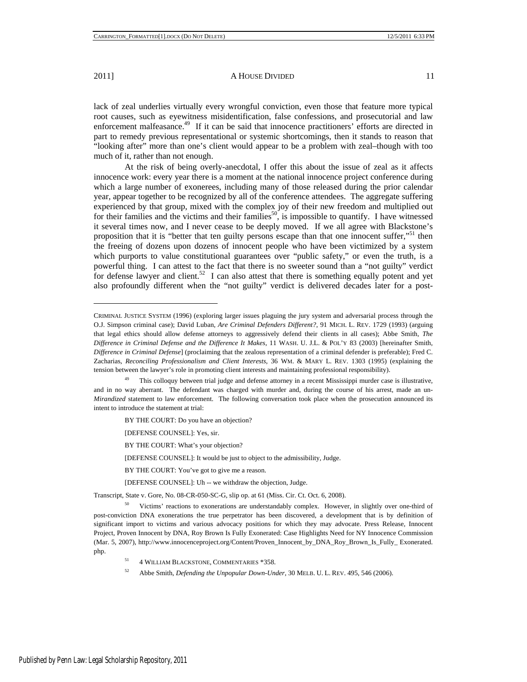$\overline{a}$ 

### 2011] A HOUSE DIVIDED 11

lack of zeal underlies virtually every wrongful conviction, even those that feature more typical root causes, such as eyewitness misidentification, false confessions, and prosecutorial and law enforcement malfeasance.<sup>49</sup> If it can be said that innocence practitioners' efforts are directed in part to remedy previous representational or systemic shortcomings, then it stands to reason that "looking after" more than one's client would appear to be a problem with zeal–though with too much of it, rather than not enough.

At the risk of being overly-anecdotal, I offer this about the issue of zeal as it affects innocence work: every year there is a moment at the national innocence project conference during which a large number of exonerees, including many of those released during the prior calendar year, appear together to be recognized by all of the conference attendees. The aggregate suffering experienced by that group, mixed with the complex joy of their new freedom and multiplied out for their families and the victims and their families<sup>50</sup>, is impossible to quantify. I have witnessed it several times now, and I never cease to be deeply moved. If we all agree with Blackstone's proposition that it is "better that ten guilty persons escape than that one innocent suffer,"<sup>51</sup> then the freeing of dozens upon dozens of innocent people who have been victimized by a system which purports to value constitutional guarantees over "public safety," or even the truth, is a powerful thing. I can attest to the fact that there is no sweeter sound than a "not guilty" verdict for defense lawyer and client.<sup>52</sup> I can also attest that there is something equally potent and yet also profoundly different when the "not guilty" verdict is delivered decades later for a post-

BY THE COURT: What's your objection?

[DEFENSE COUNSEL]: It would be just to object to the admissibility, Judge.

- BY THE COURT: You've got to give me a reason.
- [DEFENSE COUNSEL]: Uh -- we withdraw the objection, Judge.

Transcript, State v. Gore, No. 08-CR-050-SC-G, slip op. at 61 (Miss. Cir. Ct. Oct. 6, 2008).

Victims' reactions to exonerations are understandably complex. However, in slightly over one-third of post-conviction DNA exonerations the true perpetrator has been discovered, a development that is by definition of significant import to victims and various advocacy positions for which they may advocate. Press Release, Innocent Project, Proven Innocent by DNA, Roy Brown Is Fully Exonerated: Case Highlights Need for NY Innocence Commission (Mar. 5, 2007), http://www.innocenceproject.org/Content/Proven\_Innocent\_by\_DNA\_Roy\_Brown\_Is\_Fully\_ Exonerated. php.

- <sup>51</sup> 4 WILLIAM BLACKSTONE, COMMENTARIES \*358.
- <sup>52</sup> Abbe Smith, *Defending the Unpopular Down-Under*, 30 MELB. U. L. REV. 495, 546 (2006).

CRIMINAL JUSTICE SYSTEM (1996) (exploring larger issues plaguing the jury system and adversarial process through the O.J. Simpson criminal case); David Luban, *Are Criminal Defenders Different?*, 91 MICH. L. REV. 1729 (1993) (arguing that legal ethics should allow defense attorneys to aggressively defend their clients in all cases); Abbe Smith, *The Difference in Criminal Defense and the Difference It Makes*, 11 WASH. U. J.L. & POL'Y 83 (2003) [hereinafter Smith, *Difference in Criminal Defense*] (proclaiming that the zealous representation of a criminal defender is preferable); Fred C. Zacharias, *Reconciling Professionalism and Client Interests*, 36 WM. & MARY L. REV. 1303 (1995) (explaining the tension between the lawyer's role in promoting client interests and maintaining professional responsibility).

This colloquy between trial judge and defense attorney in a recent Mississippi murder case is illustrative, and in no way aberrant. The defendant was charged with murder and, during the course of his arrest, made an un-*Mirandized* statement to law enforcement. The following conversation took place when the prosecution announced its intent to introduce the statement at trial:

BY THE COURT: Do you have an objection?

<sup>[</sup>DEFENSE COUNSEL]: Yes, sir.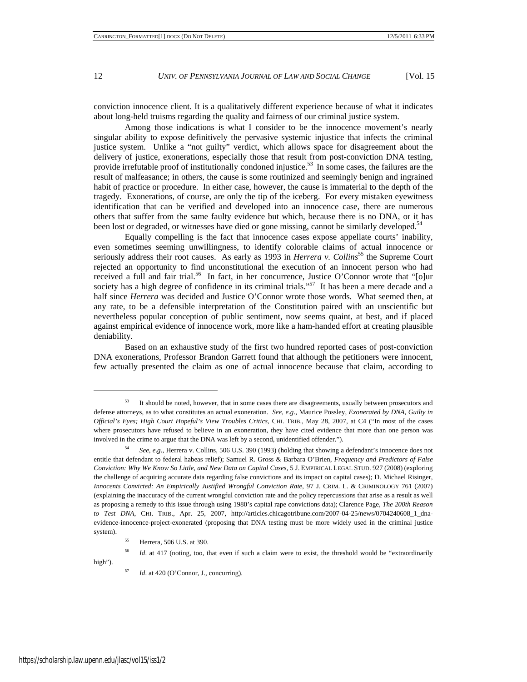conviction innocence client. It is a qualitatively different experience because of what it indicates about long-held truisms regarding the quality and fairness of our criminal justice system.

Among those indications is what I consider to be the innocence movement's nearly singular ability to expose definitively the pervasive systemic injustice that infects the criminal justice system. Unlike a "not guilty" verdict, which allows space for disagreement about the delivery of justice, exonerations, especially those that result from post-conviction DNA testing, provide irrefutable proof of institutionally condoned injustice.<sup>53</sup> In some cases, the failures are the result of malfeasance; in others, the cause is some routinized and seemingly benign and ingrained habit of practice or procedure. In either case, however, the cause is immaterial to the depth of the tragedy. Exonerations, of course, are only the tip of the iceberg. For every mistaken eyewitness identification that can be verified and developed into an innocence case, there are numerous others that suffer from the same faulty evidence but which, because there is no DNA, or it has been lost or degraded, or witnesses have died or gone missing, cannot be similarly developed.<sup>54</sup>

Equally compelling is the fact that innocence cases expose appellate courts' inability, even sometimes seeming unwillingness, to identify colorable claims of actual innocence or seriously address their root causes. As early as 1993 in *Herrera v. Collins*<sup>55</sup> the Supreme Court rejected an opportunity to find unconstitutional the execution of an innocent person who had received a full and fair trial.<sup>56</sup> In fact, in her concurrence, Justice O'Connor wrote that "[o]ur society has a high degree of confidence in its criminal trials."<sup>57</sup> It has been a mere decade and a half since *Herrera* was decided and Justice O'Connor wrote those words. What seemed then, at any rate, to be a defensible interpretation of the Constitution paired with an unscientific but nevertheless popular conception of public sentiment, now seems quaint, at best, and if placed against empirical evidence of innocence work, more like a ham-handed effort at creating plausible deniability.

Based on an exhaustive study of the first two hundred reported cases of post-conviction DNA exonerations, Professor Brandon Garrett found that although the petitioners were innocent, few actually presented the claim as one of actual innocence because that claim, according to

high").

<sup>&</sup>lt;sup>53</sup> It should be noted, however, that in some cases there are disagreements, usually between prosecutors and defense attorneys, as to what constitutes an actual exoneration. *See, e*.*g*., Maurice Possley, *Exonerated by DNA, Guilty in Official's Eyes; High Court Hopeful's View Troubles Critics*, CHI. TRIB., May 28, 2007, at C4 ("In most of the cases where prosecutors have refused to believe in an exoneration, they have cited evidence that more than one person was involved in the crime to argue that the DNA was left by a second, unidentified offender.").

<sup>54</sup> *See*, *e*.*g*., Herrera v. Collins, 506 U.S. 390 (1993) (holding that showing a defendant's innocence does not entitle that defendant to federal habeas relief); Samuel R. Gross & Barbara O'Brien, *Frequency and Predictors of False Conviction: Why We Know So Little, and New Data on Capital Cases*, 5 J. EMPIRICAL LEGAL STUD. 927 (2008) (exploring the challenge of acquiring accurate data regarding false convictions and its impact on capital cases); D. Michael Risinger, *Innocents Convicted: An Empirically Justified Wrongful Conviction Rate*, 97 J. CRIM. L. & CRIMINOLOGY 761 (2007) (explaining the inaccuracy of the current wrongful conviction rate and the policy repercussions that arise as a result as well as proposing a remedy to this issue through using 1980's capital rape convictions data); Clarence Page, *The 200th Reason to Test DNA*, CHI. TRIB., Apr. 25, 2007, http://articles.chicagotribune.com/2007-04-25/news/0704240608\_1\_dnaevidence-innocence-project-exonerated (proposing that DNA testing must be more widely used in the criminal justice system).

<sup>55</sup> Herrera, 506 U.S. at 390.

<sup>&</sup>lt;sup>56</sup> *Id.* at 417 (noting, too, that even if such a claim were to exist, the threshold would be "extraordinarily

*Id.* at 420 (O'Connor, J., concurring).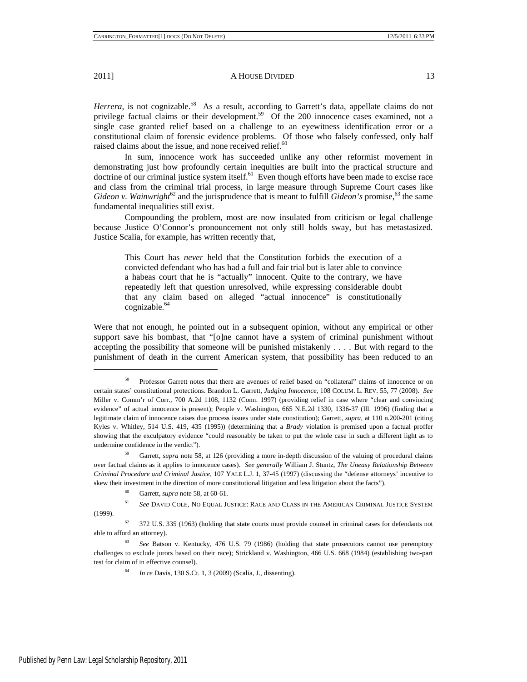*Herrera*, is not cognizable.<sup>58</sup> As a result, according to Garrett's data, appellate claims do not privilege factual claims or their development.<sup>59</sup> Of the 200 innocence cases examined, not a single case granted relief based on a challenge to an eyewitness identification error or a constitutional claim of forensic evidence problems. Of those who falsely confessed, only half raised claims about the issue, and none received relief.<sup>60</sup>

In sum, innocence work has succeeded unlike any other reformist movement in demonstrating just how profoundly certain inequities are built into the practical structure and doctrine of our criminal justice system itself.<sup>61</sup> Even though efforts have been made to excise race and class from the criminal trial process, in large measure through Supreme Court cases like *Gideon v. Wainwright*<sup>62</sup> and the jurisprudence that is meant to fulfill *Gideon's* promise,<sup>63</sup> the same fundamental inequalities still exist.

Compounding the problem, most are now insulated from criticism or legal challenge because Justice O'Connor's pronouncement not only still holds sway, but has metastasized. Justice Scalia, for example, has written recently that,

This Court has *never* held that the Constitution forbids the execution of a convicted defendant who has had a full and fair trial but is later able to convince a habeas court that he is "actually" innocent. Quite to the contrary, we have repeatedly left that question unresolved, while expressing considerable doubt that any claim based on alleged "actual innocence" is constitutionally cognizable.<sup>64</sup>

Were that not enough, he pointed out in a subsequent opinion, without any empirical or other support save his bombast, that "[o]ne cannot have a system of criminal punishment without accepting the possibility that someone will be punished mistakenly . . . . But with regard to the punishment of death in the current American system, that possibility has been reduced to an

<sup>&</sup>lt;sup>58</sup> Professor Garrett notes that there are avenues of relief based on "collateral" claims of innocence or on certain states' constitutional protections. Brandon L. Garrett, *Judging Innocence*, 108 COLUM. L. REV. 55, 77 (2008). *See* Miller v. Comm'r of Corr., 700 A.2d 1108, 1132 (Conn. 1997) (providing relief in case where "clear and convincing evidence" of actual innocence is present); People v. Washington, 665 N.E.2d 1330, 1336-37 (Ill. 1996) (finding that a legitimate claim of innocence raises due process issues under state constitution); Garrett, *supra*, at 110 n.200-201 (citing Kyles v. Whitley, 514 U.S. 419, 435 (1995)) (determining that a *Brady* violation is premised upon a factual proffer showing that the exculpatory evidence "could reasonably be taken to put the whole case in such a different light as to undermine confidence in the verdict").

<sup>59</sup> Garrett, *supra* note 58, at 126 (providing a more in-depth discussion of the valuing of procedural claims over factual claims as it applies to innocence cases). *See generally* William J. Stuntz, *The Uneasy Relationship Between Criminal Procedure and Criminal Justice*, 107 YALE L.J. 1, 37-45 (1997) (discussing the "defense attorneys' incentive to skew their investment in the direction of more constitutional litigation and less litigation about the facts").

<sup>60</sup> Garrett, *supra* note 58, at 60-61.

<sup>61</sup> *See* DAVID COLE, NO EQUAL JUSTICE: RACE AND CLASS IN THE AMERICAN CRIMINAL JUSTICE SYSTEM (1999).

<sup>&</sup>lt;sup>62</sup> 372 U.S. 335 (1963) (holding that state courts must provide counsel in criminal cases for defendants not able to afford an attorney).

<sup>&</sup>lt;sup>63</sup> See Batson v. Kentucky, 476 U.S. 79 (1986) (holding that state prosecutors cannot use peremptory challenges to exclude jurors based on their race); Strickland v. Washington, 466 U.S. 668 (1984) (establishing two-part test for claim of in effective counsel).

<sup>64</sup> *In re* Davis, 130 S.Ct. 1, 3 (2009) (Scalia, J., dissenting).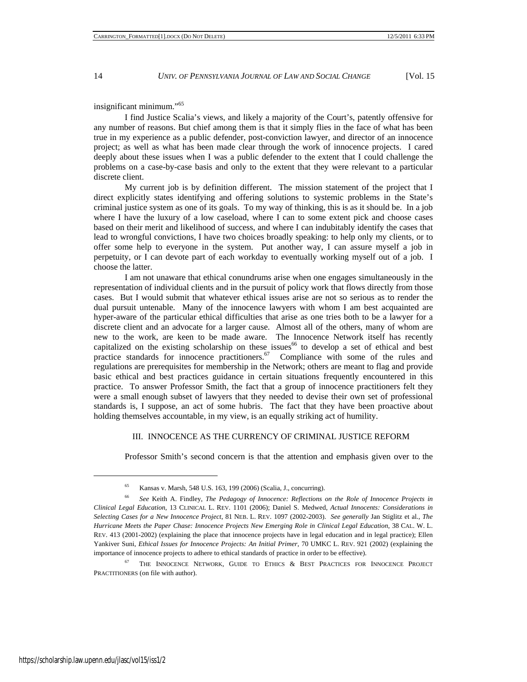insignificant minimum."65

I find Justice Scalia's views, and likely a majority of the Court's, patently offensive for any number of reasons. But chief among them is that it simply flies in the face of what has been true in my experience as a public defender, post-conviction lawyer, and director of an innocence project; as well as what has been made clear through the work of innocence projects. I cared deeply about these issues when I was a public defender to the extent that I could challenge the problems on a case-by-case basis and only to the extent that they were relevant to a particular discrete client.

My current job is by definition different. The mission statement of the project that I direct explicitly states identifying and offering solutions to systemic problems in the State's criminal justice system as one of its goals. To my way of thinking, this is as it should be. In a job where I have the luxury of a low caseload, where I can to some extent pick and choose cases based on their merit and likelihood of success, and where I can indubitably identify the cases that lead to wrongful convictions, I have two choices broadly speaking: to help only my clients, or to offer some help to everyone in the system. Put another way, I can assure myself a job in perpetuity, or I can devote part of each workday to eventually working myself out of a job. I choose the latter.

I am not unaware that ethical conundrums arise when one engages simultaneously in the representation of individual clients and in the pursuit of policy work that flows directly from those cases. But I would submit that whatever ethical issues arise are not so serious as to render the dual pursuit untenable. Many of the innocence lawyers with whom I am best acquainted are hyper-aware of the particular ethical difficulties that arise as one tries both to be a lawyer for a discrete client and an advocate for a larger cause. Almost all of the others, many of whom are new to the work, are keen to be made aware. The Innocence Network itself has recently capitalized on the existing scholarship on these issues<sup>66</sup> to develop a set of ethical and best practice standards for innocence practitioners.<sup>67</sup> Compliance with some of the rules and regulations are prerequisites for membership in the Network; others are meant to flag and provide basic ethical and best practices guidance in certain situations frequently encountered in this practice. To answer Professor Smith, the fact that a group of innocence practitioners felt they were a small enough subset of lawyers that they needed to devise their own set of professional standards is, I suppose, an act of some hubris. The fact that they have been proactive about holding themselves accountable, in my view, is an equally striking act of humility.

### III. INNOCENCE AS THE CURRENCY OF CRIMINAL JUSTICE REFORM

Professor Smith's second concern is that the attention and emphasis given over to the

<sup>65</sup> Kansas v. Marsh, 548 U.S. 163, 199 (2006) (Scalia, J., concurring).

<sup>66</sup> *See* Keith A. Findley, *The Pedagogy of Innocence: Reflections on the Role of Innocence Projects in Clinical Legal Education*, 13 CLINICAL L. REV. 1101 (2006); Daniel S. Medwed, *Actual Innocents: Considerations in Selecting Cases for a New Innocence Project*, 81 NEB. L. REV. 1097 (2002-2003). *See generally* Jan Stiglitz et al., *The Hurricane Meets the Paper Chase: Innocence Projects New Emerging Role in Clinical Legal Education*, 38 CAL. W. L. REV. 413 (2001-2002) (explaining the place that innocence projects have in legal education and in legal practice); Ellen Yankiver Suni, *Ethical Issues for Innocence Projects: An Initial Primer*, 70 UMKC L. REV. 921 (2002) (explaining the importance of innocence projects to adhere to ethical standards of practice in order to be effective).

<sup>&</sup>lt;sup>67</sup> THE INNOCENCE NETWORK, GUIDE TO ETHICS & BEST PRACTICES FOR INNOCENCE PROJECT PRACTITIONERS (on file with author).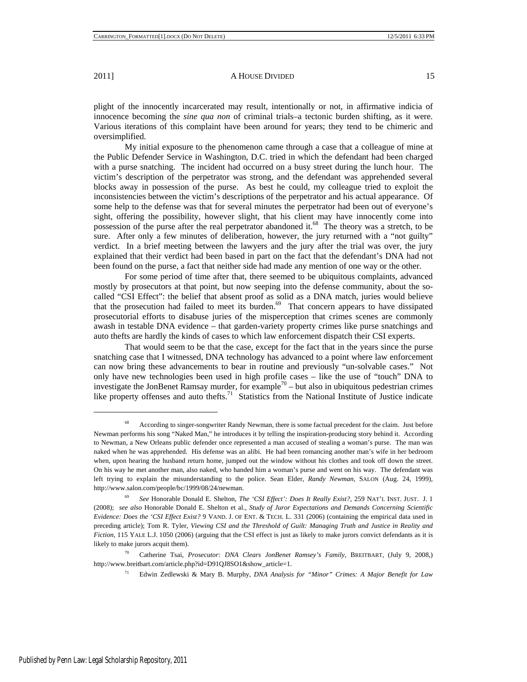plight of the innocently incarcerated may result, intentionally or not, in affirmative indicia of innocence becoming the *sine qua non* of criminal trials–a tectonic burden shifting, as it were. Various iterations of this complaint have been around for years; they tend to be chimeric and oversimplified.

My initial exposure to the phenomenon came through a case that a colleague of mine at the Public Defender Service in Washington, D.C. tried in which the defendant had been charged with a purse snatching. The incident had occurred on a busy street during the lunch hour. The victim's description of the perpetrator was strong, and the defendant was apprehended several blocks away in possession of the purse. As best he could, my colleague tried to exploit the inconsistencies between the victim's descriptions of the perpetrator and his actual appearance. Of some help to the defense was that for several minutes the perpetrator had been out of everyone's sight, offering the possibility, however slight, that his client may have innocently come into possession of the purse after the real perpetrator abandoned it.<sup>68</sup> The theory was a stretch, to be sure. After only a few minutes of deliberation, however, the jury returned with a "not guilty" verdict. In a brief meeting between the lawyers and the jury after the trial was over, the jury explained that their verdict had been based in part on the fact that the defendant's DNA had not been found on the purse, a fact that neither side had made any mention of one way or the other.

For some period of time after that, there seemed to be ubiquitous complaints, advanced mostly by prosecutors at that point, but now seeping into the defense community, about the socalled "CSI Effect": the belief that absent proof as solid as a DNA match, juries would believe that the prosecution had failed to meet its burden.<sup>69</sup> That concern appears to have dissipated prosecutorial efforts to disabuse juries of the misperception that crimes scenes are commonly awash in testable DNA evidence – that garden-variety property crimes like purse snatchings and auto thefts are hardly the kinds of cases to which law enforcement dispatch their CSI experts.

That would seem to be that the case, except for the fact that in the years since the purse snatching case that I witnessed, DNA technology has advanced to a point where law enforcement can now bring these advancements to bear in routine and previously "un-solvable cases." Not only have new technologies been used in high profile cases – like the use of "touch" DNA to investigate the JonBenet Ramsay murder, for example<sup>70</sup> – but also in ubiquitous pedestrian crimes like property offenses and auto thefts.<sup>71</sup> Statistics from the National Institute of Justice indicate

<sup>71</sup> Edwin Zedlewski & Mary B. Murphy, *DNA Analysis for "Minor" Crimes: A Major Benefit for Law* 

<sup>&</sup>lt;sup>68</sup> According to singer-songwriter Randy Newman, there is some factual precedent for the claim. Just before Newman performs his song "Naked Man," he introduces it by telling the inspiration-producing story behind it. According to Newman, a New Orleans public defender once represented a man accused of stealing a woman's purse. The man was naked when he was apprehended. His defense was an alibi. He had been romancing another man's wife in her bedroom when, upon hearing the husband return home, jumped out the window without his clothes and took off down the street. On his way he met another man, also naked, who handed him a woman's purse and went on his way. The defendant was left trying to explain the misunderstanding to the police. Sean Elder, *Randy Newman*, SALON (Aug. 24, 1999), http://www.salon.com/people/bc/1999/08/24/newman.

<sup>69</sup> *See* Honorable Donald E. Shelton, *The 'CSI Effect': Does It Really Exist?*, 259 NAT'L INST. JUST. J. 1 (2008); *see also* Honorable Donald E. Shelton et al., *Study of Juror Expectations and Demands Concerning Scientific Evidence: Does the 'CSI Effect Exist?* 9 VAND. J. OF ENT. & TECH. L. 331 (2006) (containing the empirical data used in preceding article); Tom R. Tyler, *Viewing CSI and the Threshold of Guilt: Managing Truth and Justice in Reality and Fiction*, 115 YALE L.J. 1050 (2006) (arguing that the CSI effect is just as likely to make jurors convict defendants as it is likely to make jurors acquit them).

<sup>70</sup> Catherine Tsai, *Prosecutor: DNA Clears JonBenet Ramsey's Family*, BREITBART, (July 9, 2008,) http://www.breitbart.com/article.php?id=D91QJ8SO1&show\_article=1.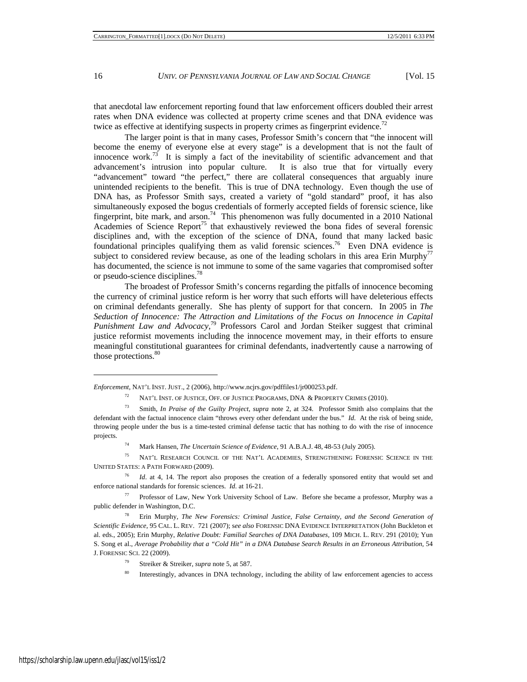that anecdotal law enforcement reporting found that law enforcement officers doubled their arrest rates when DNA evidence was collected at property crime scenes and that DNA evidence was twice as effective at identifying suspects in property crimes as fingerprint evidence.<sup>7</sup>

The larger point is that in many cases, Professor Smith's concern that "the innocent will become the enemy of everyone else at every stage" is a development that is not the fault of innocence work.<sup>73</sup> It is simply a fact of the inevitability of scientific advancement and that advancement's intrusion into popular culture. It is also true that for virtually every "advancement" toward "the perfect," there are collateral consequences that arguably inure unintended recipients to the benefit. This is true of DNA technology. Even though the use of DNA has, as Professor Smith says, created a variety of "gold standard" proof, it has also simultaneously exposed the bogus credentials of formerly accepted fields of forensic science, like fingerprint, bite mark, and arson.<sup>74</sup> This phenomenon was fully documented in a 2010 National Academies of Science Report<sup>75</sup> that exhaustively reviewed the bona fides of several forensic disciplines and, with the exception of the science of DNA, found that many lacked basic foundational principles qualifying them as valid forensic sciences.<sup>76</sup> Even DNA evidence is subject to considered review because, as one of the leading scholars in this area Erin Murphy<sup>77</sup> has documented, the science is not immune to some of the same vagaries that compromised softer or pseudo-science disciplines.78

The broadest of Professor Smith's concerns regarding the pitfalls of innocence becoming the currency of criminal justice reform is her worry that such efforts will have deleterious effects on criminal defendants generally. She has plenty of support for that concern. In 2005 in *The Seduction of Innocence: The Attraction and Limitations of the Focus on Innocence in Capital Punishment Law and Advocacy,*79 Professors Carol and Jordan Steiker suggest that criminal justice reformist movements including the innocence movement may, in their efforts to ensure meaningful constitutional guarantees for criminal defendants, inadvertently cause a narrowing of those protections.<sup>80</sup>

<sup>74</sup> Mark Hansen, *The Uncertain Science of Evidence*, 91 A.B.A.J. 48, 48-53 (July 2005).

<sup>75</sup> NAT'L RESEARCH COUNCIL OF THE NAT'L ACADEMIES, STRENGTHENING FORENSIC SCIENCE IN THE UNITED STATES: A PATH FORWARD (2009).

<sup>76</sup> *Id.* at 4, 14. The report also proposes the creation of a federally sponsored entity that would set and enforce national standards for forensic sciences. *Id*. at 16-21.

<sup>77</sup> Professor of Law, New York University School of Law. Before she became a professor, Murphy was a public defender in Washington, D.C.

<sup>78</sup> Erin Murphy, *The New Forensics: Criminal Justice, False Certainty, and the Second Generation of Scientific Evidence*, 95 CAL. L. REV. 721 (2007); s*ee also* FORENSIC DNA EVIDENCE INTERPRETATION (John Buckleton et al. eds., 2005); Erin Murphy, *Relative Doubt: Familial Searches of DNA Databases,* 109 MICH. L. REV. 291 (2010); Yun S. Song et al., *Average Probability that a "Cold Hit" in a DNA Database Search Results in an Erroneous Attribution,* 54 J. FORENSIC SCI. 22 (2009).

<sup>79</sup> Streiker & Streiker, *supra* note 5, at 587.

Interestingly, advances in DNA technology, including the ability of law enforcement agencies to access

*Enforcement*, NAT'L INST. JUST., 2 (2006), http://www.ncjrs.gov/pdffiles1/jr000253.pdf.

<sup>&</sup>lt;sup>72</sup> NAT'L INST. OF JUSTICE, OFF. OF JUSTICE PROGRAMS, DNA & PROPERTY CRIMES (2010).

<sup>73</sup> Smith, *In Praise of the Guilty Project*, *supra* note 2, at 324. Professor Smith also complains that the defendant with the factual innocence claim "throws every other defendant under the bus." *Id*. At the risk of being snide, throwing people under the bus is a time-tested criminal defense tactic that has nothing to do with the rise of innocence projects.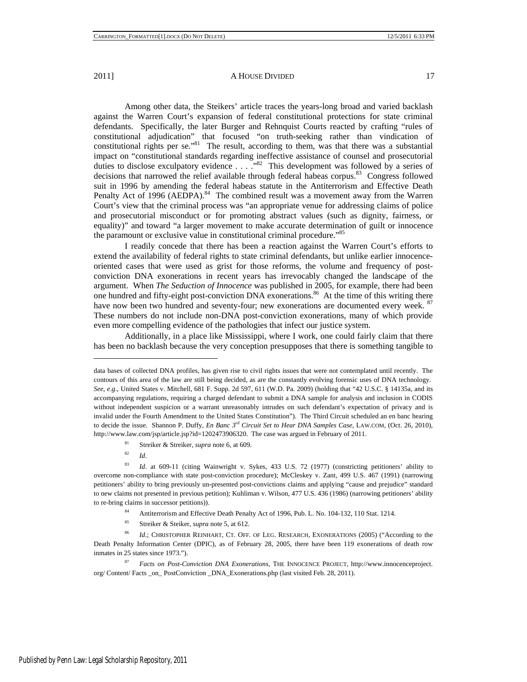Among other data, the Steikers' article traces the years-long broad and varied backlash against the Warren Court's expansion of federal constitutional protections for state criminal defendants. Specifically, the later Burger and Rehnquist Courts reacted by crafting "rules of constitutional adjudication" that focused "on truth-seeking rather than vindication of constitutional rights per se."<sup>81</sup> The result, according to them, was that there was a substantial impact on "constitutional standards regarding ineffective assistance of counsel and prosecutorial duties to disclose exculpatory evidence . . . . "82 This development was followed by a series of decisions that narrowed the relief available through federal habeas corpus.<sup>83</sup> Congress followed suit in 1996 by amending the federal habeas statute in the Antiterrorism and Effective Death Penalty Act of 1996 (AEDPA).<sup>84</sup> The combined result was a movement away from the Warren Court's view that the criminal process was "an appropriate venue for addressing claims of police and prosecutorial misconduct or for promoting abstract values (such as dignity, fairness, or equality)" and toward "a larger movement to make accurate determination of guilt or innocence the paramount or exclusive value in constitutional criminal procedure."<sup>85</sup>

I readily concede that there has been a reaction against the Warren Court's efforts to extend the availability of federal rights to state criminal defendants, but unlike earlier innocenceoriented cases that were used as grist for those reforms, the volume and frequency of postconviction DNA exonerations in recent years has irrevocably changed the landscape of the argument. When *The Seduction of Innocence* was published in 2005, for example, there had been one hundred and fifty-eight post-conviction DNA exonerations.<sup>86</sup> At the time of this writing there have now been two hundred and seventy-four; new exonerations are documented every week. <sup>87</sup> These numbers do not include non-DNA post-conviction exonerations, many of which provide even more compelling evidence of the pathologies that infect our justice system.

Additionally, in a place like Mississippi, where I work, one could fairly claim that there has been no backlash because the very conception presupposes that there is something tangible to

-

<sup>85</sup> Streiker & Steiker, *supra* note 5, at 612.

data bases of collected DNA profiles, has given rise to civil rights issues that were not contemplated until recently. The contours of this area of the law are still being decided, as are the constantly evolving forensic uses of DNA technology. *See, e*.*g*.*,* United States v. Mitchell, 681 F. Supp. 2d 597, 611 (W.D. Pa. 2009) (holding that "42 U.S.C. § 14135a, and its accompanying regulations, requiring a charged defendant to submit a DNA sample for analysis and inclusion in CODIS without independent suspicion or a warrant unreasonably intrudes on such defendant's expectation of privacy and is invalid under the Fourth Amendment to the United States Constitution"). The Third Circuit scheduled an en banc hearing to decide the issue. Shannon P. Duffy, *En Banc 3rd Circuit Set to Hear DNA Samples Case*, LAW.COM, (Oct. 26, 2010), http://www.law.com/jsp/article.jsp?id=1202473906320. The case was argued in February of 2011.

<sup>81</sup> Streiker & Streiker, *supra* note 6, at 609.

<sup>82</sup> *Id*.

<sup>83</sup> *Id*. at 609-11 (citing Wainwright v. Sykes, 433 U.S. 72 (1977) (constricting petitioners' ability to overcome non-compliance with state post-conviction procedure); McCleskey v. Zant, 499 U.S. 467 (1991) (narrowing petitioners' ability to bring previously un-presented post-convictions claims and applying "cause and prejudice" standard to new claims not presented in previous petition); Kuhliman v. Wilson, 477 U.S. 436 (1986) (narrowing petitioners' ability to re-bring claims in successor petitions)).

<sup>84</sup> Antiterrorism and Effective Death Penalty Act of 1996, Pub. L. No. 104-132, 110 Stat. 1214.

<sup>86</sup> *Id.*; CHRISTOPHER REINHART, CT. OFF. OF LEG. RESEARCH, EXONERATIONS (2005) ("According to the Death Penalty Information Center (DPIC), as of February 28, 2005, there have been 119 exonerations of death row inmates in 25 states since 1973.").

<sup>87</sup> *Facts on Post-Conviction DNA Exonerations*, THE INNOCENCE PROJECT, http://www.innocenceproject. org/ Content/ Facts \_on\_ PostConviction \_DNA\_Exonerations.php (last visited Feb. 28, 2011).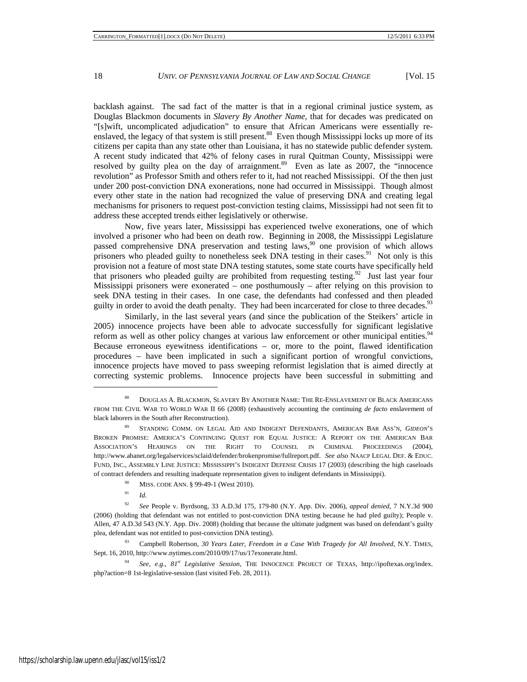backlash against. The sad fact of the matter is that in a regional criminal justice system, as Douglas Blackmon documents in *Slavery By Another Name*, that for decades was predicated on "[s]wift, uncomplicated adjudication" to ensure that African Americans were essentially reenslaved, the legacy of that system is still present.<sup>88</sup> Even though Mississippi locks up more of its citizens per capita than any state other than Louisiana, it has no statewide public defender system. A recent study indicated that 42% of felony cases in rural Quitman County, Mississippi were resolved by guilty plea on the day of arraignment.<sup>89</sup> Even as late as 2007, the "innocence revolution" as Professor Smith and others refer to it, had not reached Mississippi. Of the then just under 200 post-conviction DNA exonerations, none had occurred in Mississippi. Though almost every other state in the nation had recognized the value of preserving DNA and creating legal mechanisms for prisoners to request post-conviction testing claims, Mississippi had not seen fit to address these accepted trends either legislatively or otherwise.

Now, five years later, Mississippi has experienced twelve exonerations, one of which involved a prisoner who had been on death row. Beginning in 2008, the Mississippi Legislature passed comprehensive DNA preservation and testing laws,<sup>90</sup> one provision of which allows prisoners who pleaded guilty to nonetheless seek DNA testing in their cases.<sup>91</sup> Not only is this provision not a feature of most state DNA testing statutes, some state courts have specifically held that prisoners who pleaded guilty are prohibited from requesting testing.<sup>92</sup> Just last year four Mississippi prisoners were exonerated – one posthumously – after relying on this provision to seek DNA testing in their cases. In one case, the defendants had confessed and then pleaded guilty in order to avoid the death penalty. They had been incarcerated for close to three decades.<sup>93</sup>

Similarly, in the last several years (and since the publication of the Steikers' article in 2005) innocence projects have been able to advocate successfully for significant legislative reform as well as other policy changes at various law enforcement or other municipal entities.<sup>9</sup> Because erroneous eyewitness identifications – or, more to the point, flawed identification procedures – have been implicated in such a significant portion of wrongful convictions, innocence projects have moved to pass sweeping reformist legislation that is aimed directly at correcting systemic problems. Innocence projects have been successful in submitting and

<sup>91</sup> *Id*.

<sup>88</sup> DOUGLAS A. BLACKMON, SLAVERY BY ANOTHER NAME: THE RE-ENSLAVEMENT OF BLACK AMERICANS FROM THE CIVIL WAR TO WORLD WAR II 66 (2008) (exhaustively accounting the continuing *de facto* enslavement of black laborers in the South after Reconstruction).

<sup>89</sup> STANDING COMM. ON LEGAL AID AND INDIGENT DEFENDANTS, AMERICAN BAR ASS'N, *GIDEON*'S BROKEN PROMISE: AMERICA'S CONTINUING QUEST FOR EQUAL JUSTICE: A REPORT ON THE AMERICAN BAR ASSOCIATION'S HEARINGS ON THE RIGHT TO COUNSEL IN CRIMINAL PROCEEDINGS (2004), http://www.abanet.org/legalservices/sclaid/defender/brokenpromise/fullreport.pdf. *See also* NAACP LEGAL DEF. & EDUC. FUND, INC., ASSEMBLY LINE JUSTICE: MISSISSIPPI'S INDIGENT DEFENSE CRISIS 17 (2003) (describing the high caseloads of contract defenders and resulting inadequate representation given to indigent defendants in Mississippi).

<sup>&</sup>lt;sup>90</sup> MISS. CODE ANN. § 99-49-1 (West 2010).

<sup>92</sup> *See* People v. Byrdsong, 33 A.D.3d 175, 179-80 (N.Y. App. Div. 2006), *appeal denied*, 7 N.Y.3d 900 (2006) (holding that defendant was not entitled to post-conviction DNA testing because he had pled guilty); People v. Allen, 47 A.D.3d 543 (N.Y. App. Div. 2008) (holding that because the ultimate judgment was based on defendant's guilty plea, defendant was not entitled to post-conviction DNA testing).

<sup>93</sup> Campbell Robertson, *30 Years Later, Freedom in a Case With Tragedy for All Involved*, N.Y. TIMES, Sept. 16, 2010, http://www.nytimes.com/2010/09/17/us/17exonerate.html.

<sup>94</sup> *See, e*.*g*., *81st Legislative Session*, THE INNOCENCE PROJECT OF TEXAS, http://ipoftexas.org/index. php?action=8 1st-legislative-session (last visited Feb. 28, 2011).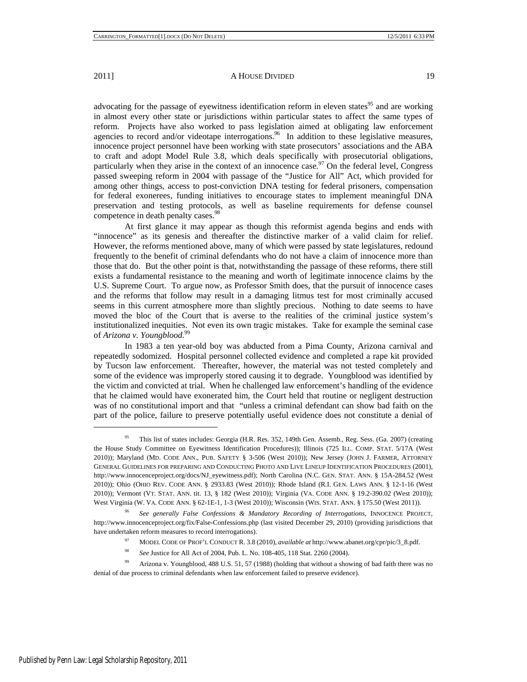advocating for the passage of eyewitness identification reform in eleven states<sup>95</sup> and are working in almost every other state or jurisdictions within particular states to affect the same types of reform. Projects have also worked to pass legislation aimed at obligating law enforcement agencies to record and/or videotape interrogations.<sup>96</sup> In addition to these legislative measures, innocence project personnel have been working with state prosecutors' associations and the ABA to craft and adopt Model Rule 3.8, which deals specifically with prosecutorial obligations, particularly when they arise in the context of an innocence case.<sup>97</sup> On the federal level, Congress passed sweeping reform in 2004 with passage of the "Justice for All" Act, which provided for among other things, access to post-conviction DNA testing for federal prisoners, compensation for federal exonerees, funding initiatives to encourage states to implement meaningful DNA preservation and testing protocols, as well as baseline requirements for defense counsel competence in death penalty cases.<sup>98</sup>

At first glance it may appear as though this reformist agenda begins and ends with "innocence" as its genesis and thereafter the distinctive marker of a valid claim for relief. However, the reforms mentioned above, many of which were passed by state legislatures, redound frequently to the benefit of criminal defendants who do not have a claim of innocence more than those that do. But the other point is that, notwithstanding the passage of these reforms, there still exists a fundamental resistance to the meaning and worth of legitimate innocence claims by the U.S. Supreme Court. To argue now, as Professor Smith does, that the pursuit of innocence cases and the reforms that follow may result in a damaging litmus test for most criminally accused seems in this current atmosphere more than slightly precious. Nothing to date seems to have moved the bloc of the Court that is averse to the realities of the criminal justice system's institutionalized inequities. Not even its own tragic mistakes. Take for example the seminal case of *Arizona v. Youngblood*. 99

In 1983 a ten year-old boy was abducted from a Pima County, Arizona carnival and repeatedly sodomized. Hospital personnel collected evidence and completed a rape kit provided by Tucson law enforcement. Thereafter, however, the material was not tested completely and some of the evidence was improperly stored causing it to degrade. Youngblood was identified by the victim and convicted at trial. When he challenged law enforcement's handling of the evidence that he claimed would have exonerated him, the Court held that routine or negligent destruction was of no constitutional import and that "unless a criminal defendant can show bad faith on the part of the police, failure to preserve potentially useful evidence does not constitute a denial of

<sup>95</sup> This list of states includes: Georgia (H.R. Res. 352, 149th Gen. Assemb., Reg. Sess. (Ga. 2007) (creating the House Study Committee on Eyewitness Identification Procedures)); Illinois (725 ILL. COMP. STAT. 5/17A (West 2010)); Maryland (MD. CODE ANN., PUB. SAFETY § 3-506 (West 2010)); New Jersey (JOHN J. FARMER, ATTORNEY GENERAL GUIDELINES FOR PREPARING AND CONDUCTING PHOTO AND LIVE LINEUP IDENTIFICATION PROCEDURES (2001), http://www.innocenceproject.org/docs/NJ\_eyewitness.pdf); North Carolina (N.C. GEN. STAT. ANN. § 15A-284.52 (West 2010)); Ohio (OHIO REV. CODE ANN. § 2933.83 (West 2010)); Rhode Island (R.I. GEN. LAWS ANN. § 12-1-16 (West 2010)); Vermont (VT. STAT. ANN. tit. 13, § 182 (West 2010)); Virginia (VA. CODE ANN. § 19.2-390.02 (West 2010)); West Virginia (W. VA. CODE ANN. § 62-1E-1, 1-3 (West 2010)); Wisconsin (WIS. STAT. ANN. § 175.50 (West 2011)).

<sup>96</sup> *See generally False Confessions & Mandatory Recording of Interrogations*, INNOCENCE PROJECT, http://www.innocenceproject.org/fix/False-Confessions.php (last visited December 29, 2010) (providing jurisdictions that have undertaken reform measures to record interrogations).

<sup>97</sup> MODEL CODE OF PROF'L CONDUCT R. 3.8 (2010), *available at* http://www.abanet.org/cpr/pic/3\_8.pdf.

<sup>98</sup> *See* Justice for All Act of 2004, Pub. L. No. 108-405, 118 Stat. 2260 (2004).

<sup>&</sup>lt;sup>99</sup> Arizona v. Youngblood, 488 U.S. 51, 57 (1988) (holding that without a showing of bad faith there was no denial of due process to criminal defendants when law enforcement failed to preserve evidence).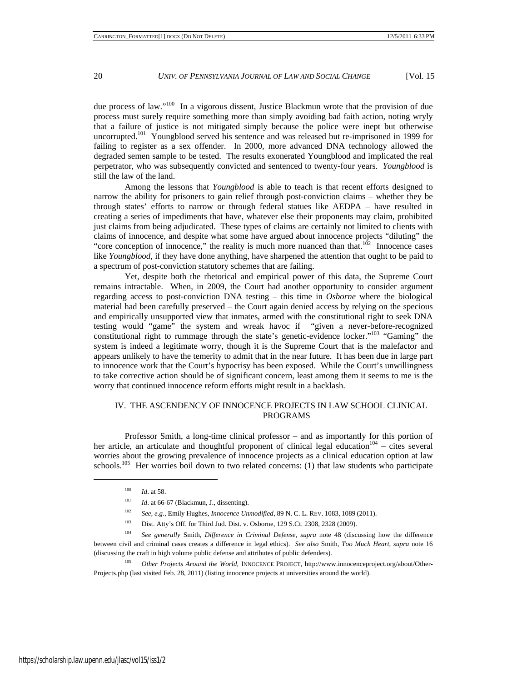due process of law."100 In a vigorous dissent, Justice Blackmun wrote that the provision of due process must surely require something more than simply avoiding bad faith action, noting wryly that a failure of justice is not mitigated simply because the police were inept but otherwise uncorrupted.<sup>101</sup> Youngblood served his sentence and was released but re-imprisoned in 1999 for failing to register as a sex offender. In 2000, more advanced DNA technology allowed the degraded semen sample to be tested. The results exonerated Youngblood and implicated the real perpetrator, who was subsequently convicted and sentenced to twenty-four years. *Youngblood* is still the law of the land.

Among the lessons that *Youngblood* is able to teach is that recent efforts designed to narrow the ability for prisoners to gain relief through post-conviction claims – whether they be through states' efforts to narrow or through federal statues like AEDPA – have resulted in creating a series of impediments that have, whatever else their proponents may claim, prohibited just claims from being adjudicated. These types of claims are certainly not limited to clients with claims of innocence, and despite what some have argued about innocence projects "diluting" the "core conception of innocence," the reality is much more nuanced than that. $102$  Innocence cases like *Youngblood*, if they have done anything, have sharpened the attention that ought to be paid to a spectrum of post-conviction statutory schemes that are failing.

Yet, despite both the rhetorical and empirical power of this data, the Supreme Court remains intractable. When, in 2009, the Court had another opportunity to consider argument regarding access to post-conviction DNA testing – this time in *Osborne* where the biological material had been carefully preserved – the Court again denied access by relying on the specious and empirically unsupported view that inmates, armed with the constitutional right to seek DNA testing would "game" the system and wreak havoc if "given a never-before-recognized constitutional right to rummage through the state's genetic-evidence locker."103 "Gaming" the system is indeed a legitimate worry, though it is the Supreme Court that is the malefactor and appears unlikely to have the temerity to admit that in the near future. It has been due in large part to innocence work that the Court's hypocrisy has been exposed. While the Court's unwillingness to take corrective action should be of significant concern, least among them it seems to me is the worry that continued innocence reform efforts might result in a backlash.

### IV. THE ASCENDENCY OF INNOCENCE PROJECTS IN LAW SCHOOL CLINICAL PROGRAMS

Professor Smith, a long-time clinical professor – and as importantly for this portion of her article, an articulate and thoughtful proponent of clinical legal education $104 - \text{cites several}$ worries about the growing prevalence of innocence projects as a clinical education option at law schools.<sup>105</sup> Her worries boil down to two related concerns: (1) that law students who participate

<sup>102</sup> *See, e*.*g*., Emily Hughes, *Innocence Unmodified*, 89 N. C. L. REV. 1083, 1089 (2011).

<sup>105</sup> *Other Projects Around the World*, INNOCENCE PROJECT, http://www.innocenceproject.org/about/Other-Projects.php (last visited Feb. 28, 2011) (listing innocence projects at universities around the world).

<sup>100</sup> *Id*. at 58.

<sup>&</sup>lt;sup>101</sup> *Id.* at 66-67 (Blackmun, J., dissenting).

<sup>103</sup> Dist. Atty's Off. for Third Jud. Dist. v. Osborne, 129 S.Ct. 2308, 2328 (2009).

<sup>104</sup> *See generally* Smith, *Difference in Criminal Defense*, *supra* note 48 (discussing how the difference between civil and criminal cases creates a difference in legal ethics). *See also* Smith, *Too Much Heart*, *supra* note 16 (discussing the craft in high volume public defense and attributes of public defenders).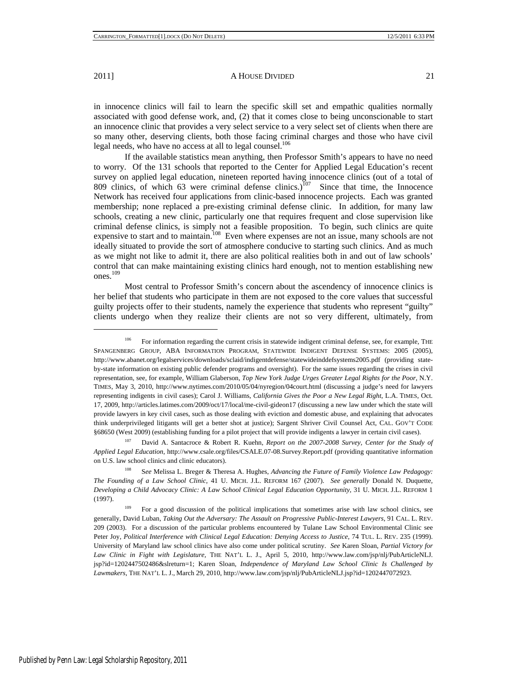$\overline{a}$ 

2011] **A HOUSE DIVIDED** 21

in innocence clinics will fail to learn the specific skill set and empathic qualities normally associated with good defense work, and, (2) that it comes close to being unconscionable to start an innocence clinic that provides a very select service to a very select set of clients when there are so many other, deserving clients, both those facing criminal charges and those who have civil legal needs, who have no access at all to legal counsel.<sup>106</sup>

If the available statistics mean anything, then Professor Smith's appears to have no need to worry. Of the 131 schools that reported to the Center for Applied Legal Education's recent survey on applied legal education, nineteen reported having innocence clinics (out of a total of 809 clinics, of which 63 were criminal defense clinics.)<sup>107</sup> Since that time, the Innocence Network has received four applications from clinic-based innocence projects. Each was granted membership; none replaced a pre-existing criminal defense clinic. In addition, for many law schools, creating a new clinic, particularly one that requires frequent and close supervision like criminal defense clinics, is simply not a feasible proposition. To begin, such clinics are quite expensive to start and to maintain.<sup>108</sup> Even where expenses are not an issue, many schools are not ideally situated to provide the sort of atmosphere conducive to starting such clinics. And as much as we might not like to admit it, there are also political realities both in and out of law schools' control that can make maintaining existing clinics hard enough, not to mention establishing new ones.109

Most central to Professor Smith's concern about the ascendency of innocence clinics is her belief that students who participate in them are not exposed to the core values that successful guilty projects offer to their students, namely the experience that students who represent "guilty" clients undergo when they realize their clients are not so very different, ultimately, from

<sup>107</sup> David A. Santacroce & Robert R. Kuehn, *Report on the 2007-2008 Survey, Center for the Study of Applied Legal Education*, http://www.csale.org/files/CSALE.07-08.Survey.Report.pdf (providing quantitative information on U.S. law school clinics and clinic educators).

<sup>108</sup> S*ee* Melissa L. Breger & Theresa A. Hughes, *Advancing the Future of Family Violence Law Pedagogy: The Founding of a Law School Clinic*, 41 U. MICH. J.L. REFORM 167 (2007). *See generally* Donald N. Duquette, *Developing a Child Advocacy Clinic: A Law School Clinical Legal Education Opportunity*, 31 U. MICH. J.L. REFORM 1 (1997).

<sup>109</sup> For a good discussion of the political implications that sometimes arise with law school clinics, see generally, David Luban, *Taking Out the Adversary: The Assault on Progressive Public-Interest Lawyers*, 91 CAL. L. REV. 209 (2003). For a discussion of the particular problems encountered by Tulane Law School Environmental Clinic see Peter Joy, *Political Interference with Clinical Legal Education: Denying Access to Justice*, 74 TUL. L. REV. 235 (1999). University of Maryland law school clinics have also come under political scrutiny. *See* Karen Sloan, *Partial Victory for Law Clinic in Fight with Legislature,* THE NAT'L L. J., April 5, 2010, http://www.law.com/jsp/nlj/PubArticleNLJ. jsp?id=1202447502486&slreturn=1; Karen Sloan, *Independence of Maryland Law School Clinic Is Challenged by Lawmakers*, THE NAT'L L. J., March 29, 2010, http://www.law.com/jsp/nlj/PubArticleNLJ.jsp?id=1202447072923.

<sup>&</sup>lt;sup>106</sup> For information regarding the current crisis in statewide indigent criminal defense, see, for example, THE SPANGENBERG GROUP, ABA INFORMATION PROGRAM, STATEWIDE INDIGENT DEFENSE SYSTEMS: 2005 (2005), http://www.abanet.org/legalservices/downloads/sclaid/indigentdefense/statewideinddefsystems2005.pdf (providing stateby-state information on existing public defender programs and oversight). For the same issues regarding the crises in civil representation, see, for example, William Glaberson, *Top New York Judge Urges Greater Legal Rights for the Poor*, N.Y. TIMES, May 3, 2010, http://www.nytimes.com/2010/05/04/nyregion/04court.html (discussing a judge's need for lawyers representing indigents in civil cases); Carol J. Williams, *California Gives the Poor a New Legal Right*, L.A. TIMES, Oct. 17, 2009, http://articles.latimes.com/2009/oct/17/local/me-civil-gideon17 (discussing a new law under which the state will provide lawyers in key civil cases, such as those dealing with eviction and domestic abuse, and explaining that advocates think underprivileged litigants will get a better shot at justice); Sargent Shriver Civil Counsel Act, CAL. GOV'T CODE §68650 (West 2009) (establishing funding for a pilot project that will provide indigents a lawyer in certain civil cases).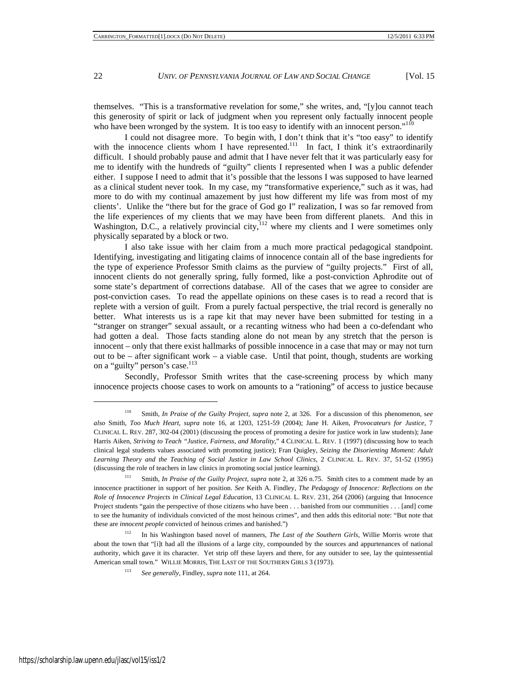themselves. "This is a transformative revelation for some," she writes, and, "[y]ou cannot teach this generosity of spirit or lack of judgment when you represent only factually innocent people who have been wronged by the system. It is too easy to identify with an innocent person."<sup>110</sup>

I could not disagree more. To begin with, I don't think that it's "too easy" to identify with the innocence clients whom I have represented.<sup>111</sup> In fact, I think it's extraordinarily difficult. I should probably pause and admit that I have never felt that it was particularly easy for me to identify with the hundreds of "guilty" clients I represented when I was a public defender either. I suppose I need to admit that it's possible that the lessons I was supposed to have learned as a clinical student never took. In my case, my "transformative experience," such as it was, had more to do with my continual amazement by just how different my life was from most of my clients'. Unlike the "there but for the grace of God go I" realization, I was so far removed from the life experiences of my clients that we may have been from different planets. And this in Washington, D.C., a relatively provincial city,  $112$  where my clients and I were sometimes only physically separated by a block or two.

I also take issue with her claim from a much more practical pedagogical standpoint. Identifying, investigating and litigating claims of innocence contain all of the base ingredients for the type of experience Professor Smith claims as the purview of "guilty projects." First of all, innocent clients do not generally spring, fully formed, like a post-conviction Aphrodite out of some state's department of corrections database. All of the cases that we agree to consider are post-conviction cases. To read the appellate opinions on these cases is to read a record that is replete with a version of guilt. From a purely factual perspective, the trial record is generally no better. What interests us is a rape kit that may never have been submitted for testing in a "stranger on stranger" sexual assault, or a recanting witness who had been a co-defendant who had gotten a deal. Those facts standing alone do not mean by any stretch that the person is innocent – only that there exist hallmarks of possible innocence in a case that may or may not turn out to be – after significant work – a viable case. Until that point, though, students are working on a "guilty" person's case.<sup>113</sup>

Secondly, Professor Smith writes that the case-screening process by which many innocence projects choose cases to work on amounts to a "rationing" of access to justice because

<sup>110</sup> Smith, *In Praise of the Guilty Project*, *supra* note 2, at 326. For a discussion of this phenomenon, s*ee also* Smith, *Too Much Heart*, *supra* note 16, at 1203, 1251-59 (2004); Jane H. Aiken, *Provocateurs for Justice*, 7 CLINICAL L. REV. 287, 302-04 (2001) (discussing the process of promoting a desire for justice work in law students); Jane Harris Aiken, *Striving to Teach "Justice, Fairness, and Morality*," 4 CLINICAL L. REV. 1 (1997) (discussing how to teach clinical legal students values associated with promoting justice); Fran Quigley, *Seizing the Disorienting Moment: Adult Learning Theory and the Teaching of Social Justice in Law School Clinics*, 2 CLINICAL L. REV. 37, 51-52 (1995) (discussing the role of teachers in law clinics in promoting social justice learning).

<sup>111</sup> Smith, *In Praise of the Guilty Project*, *supra* note 2, at 326 n.75. Smith cites to a comment made by an innocence practitioner in support of her position. *See* Keith A. Findley, *The Pedagogy of Innocence: Reflections on the Role of Innocence Projects in Clinical Legal Education*, 13 CLINICAL L. REV. 231, 264 (2006) (arguing that Innocence Project students "gain the perspective of those citizens who have been . . . banished from our communities . . . [and] come to see the humanity of individuals convicted of the most heinous crimes", and then adds this editorial note: "But note that these are *innocent people* convicted of heinous crimes and banished.")

<sup>112</sup> In his Washington based novel of manners, *The Last of the Southern Girls*, Willie Morris wrote that about the town that "[i]t had all the illusions of a large city, compounded by the sources and appurtenances of national authority, which gave it its character. Yet strip off these layers and there, for any outsider to see, lay the quintessential American small town." WILLIE MORRIS, THE LAST OF THE SOUTHERN GIRLS 3 (1973).

<sup>113</sup> *See generally*, Findley, *supra* note 111, at 264.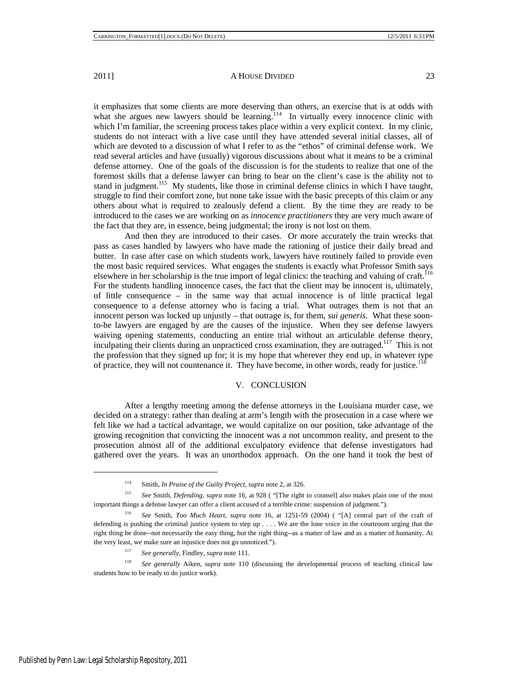it emphasizes that some clients are more deserving than others, an exercise that is at odds with what she argues new lawyers should be learning.<sup>114</sup> In virtually every innocence clinic with which I'm familiar, the screening process takes place within a very explicit context. In my clinic, students do not interact with a live case until they have attended several initial classes, all of which are devoted to a discussion of what I refer to as the "ethos" of criminal defense work. We read several articles and have (usually) vigorous discussions about what it means to be a criminal defense attorney. One of the goals of the discussion is for the students to realize that one of the foremost skills that a defense lawyer can bring to bear on the client's case is the ability not to stand in judgment.<sup>115</sup> My students, like those in criminal defense clinics in which I have taught, struggle to find their comfort zone, but none take issue with the basic precepts of this claim or any others about what is required to zealously defend a client. By the time they are ready to be introduced to the cases we are working on as *innocence practitioners* they are very much aware of the fact that they are, in essence, being judgmental; the irony is not lost on them.

And then they are introduced to their cases. Or more accurately the train wrecks that pass as cases handled by lawyers who have made the rationing of justice their daily bread and butter. In case after case on which students work, lawyers have routinely failed to provide even the most basic required services. What engages the students is exactly what Professor Smith says elsewhere in her scholarship is the true import of legal clinics: the teaching and valuing of craft.<sup>116</sup> For the students handling innocence cases, the fact that the client may be innocent is, ultimately, of little consequence – in the same way that actual innocence is of little practical legal consequence to a defense attorney who is facing a trial. What outrages them is not that an innocent person was locked up unjustly – that outrage is, for them, *sui generis*. What these soonto-be lawyers are engaged by are the causes of the injustice. When they see defense lawyers waiving opening statements, conducting an entire trial without an articulable defense theory, inculpating their clients during an unpracticed cross examination, they are outraged.<sup>117</sup> This is not the profession that they signed up for; it is my hope that wherever they end up, in whatever type of practice, they will not countenance it. They have become, in other words, ready for justice.<sup>118</sup>

#### V. CONCLUSION

After a lengthy meeting among the defense attorneys in the Louisiana murder case, we decided on a strategy: rather than dealing at arm's length with the prosecution in a case where we felt like we had a tactical advantage, we would capitalize on our position, take advantage of the growing recognition that convicting the innocent was a not uncommon reality, and present to the prosecution almost all of the additional exculpatory evidence that defense investigators had gathered over the years. It was an unorthodox approach. On the one hand it took the best of

<sup>114</sup> Smith, *In Praise of the Guilty Project*, *supra* note 2, at 326.

<sup>115</sup> *See* Smith, *Defending*, *supra* note 16, at 928 ( "[The right to counsel] also makes plain one of the most important things a defense lawyer can offer a client accused of a terrible crime: suspension of judgment.").

<sup>116</sup> *See* Smith, *Too Much Heart*, *supra* note 16, at 1251-59 (2004) ( "[A] central part of the craft of defending is pushing the criminal justice system to step up . . . . We are the lone voice in the courtroom urging that the right thing be done--not necessarily the easy thing, but the right thing--as a matter of law and as a matter of humanity. At the very least, we make sure an injustice does not go unnoticed.").

<sup>117</sup> *See generally*, Findley, *supra* note 111.

<sup>118</sup> *See generally* Aiken, *supra* note 110 (discussing the developmental process of teaching clinical law students how to be ready to do justice work).